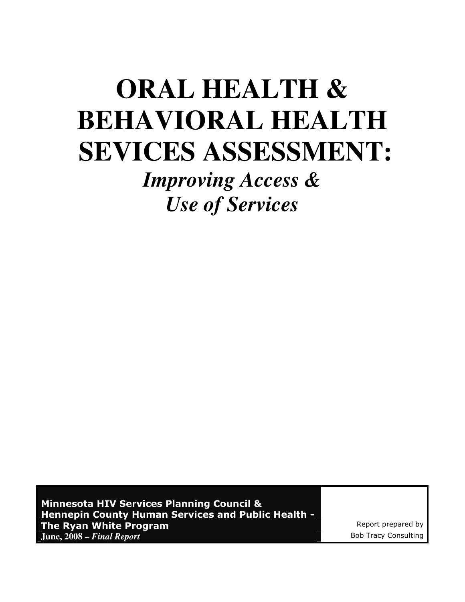# **ORAL HEALTH & BEHAVIORAL HEALTH SEVICES ASSESSMENT:**

*Improving Access & Use of Services* 

Minnesota HIV Services Planning Council & Hennepin County Human Services and Public Health - The Ryan White Program **Report program Report prepared by June, 2008 –** *Final Report*  $\blacksquare$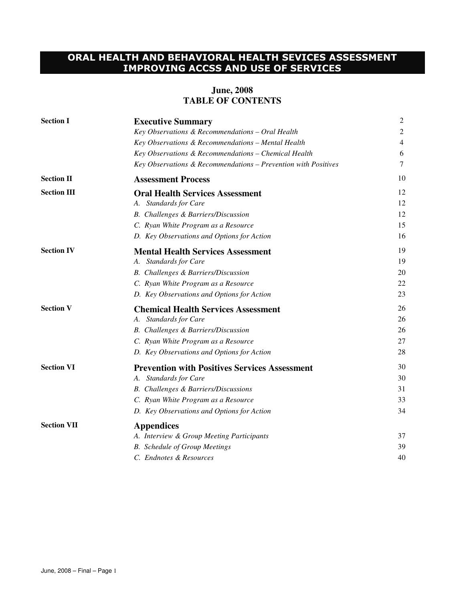# ORAL HEALTH AND BEHAVIORAL HEALTH SEVICES ASSESSMENT IMPROVING ACCSS AND USE OF SERVICES

#### **June, 2008 TABLE OF CONTENTS**

| <b>Section I</b>   | <b>Executive Summary</b>                                       | 2  |
|--------------------|----------------------------------------------------------------|----|
|                    | Key Observations & Recommendations - Oral Health               | 2  |
|                    | Key Observations & Recommendations - Mental Health             | 4  |
|                    | Key Observations & Recommendations - Chemical Health           | 6  |
|                    | Key Observations & Recommendations - Prevention with Positives | 7  |
| <b>Section II</b>  | <b>Assessment Process</b>                                      | 10 |
| <b>Section III</b> | <b>Oral Health Services Assessment</b>                         | 12 |
|                    | A. Standards for Care                                          | 12 |
|                    | B. Challenges & Barriers/Discussion                            | 12 |
|                    | C. Ryan White Program as a Resource                            | 15 |
|                    | D. Key Observations and Options for Action                     | 16 |
| <b>Section IV</b>  | <b>Mental Health Services Assessment</b>                       | 19 |
|                    | A. Standards for Care                                          | 19 |
|                    | B. Challenges & Barriers/Discussion                            | 20 |
|                    | C. Ryan White Program as a Resource                            | 22 |
|                    | D. Key Observations and Options for Action                     | 23 |
| <b>Section V</b>   | <b>Chemical Health Services Assessment</b>                     | 26 |
|                    | A. Standards for Care                                          | 26 |
|                    | B. Challenges & Barriers/Discussion                            | 26 |
|                    | C. Ryan White Program as a Resource                            | 27 |
|                    | D. Key Observations and Options for Action                     | 28 |
| <b>Section VI</b>  | <b>Prevention with Positives Services Assessment</b>           | 30 |
|                    | A. Standards for Care                                          | 30 |
|                    | <b>B.</b> Challenges & Barriers/Discussions                    | 31 |
|                    | C. Ryan White Program as a Resource                            | 33 |
|                    | D. Key Observations and Options for Action                     | 34 |
| <b>Section VII</b> | <b>Appendices</b>                                              |    |
|                    | A. Interview & Group Meeting Participants                      | 37 |
|                    | <b>B.</b> Schedule of Group Meetings                           | 39 |
|                    | C. Endnotes & Resources                                        | 40 |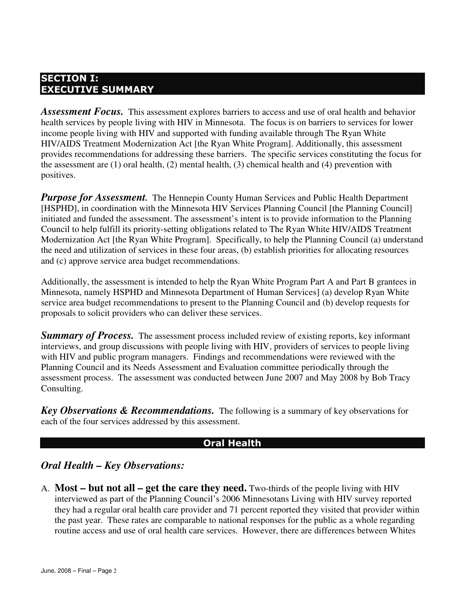## SECTION I: EXECUTIVE SUMMARY

Assessment Focus. This assessment explores barriers to access and use of oral health and behavior health services by people living with HIV in Minnesota. The focus is on barriers to services for lower income people living with HIV and supported with funding available through The Ryan White HIV/AIDS Treatment Modernization Act [the Ryan White Program]. Additionally, this assessment provides recommendations for addressing these barriers. The specific services constituting the focus for the assessment are (1) oral health, (2) mental health, (3) chemical health and (4) prevention with positives.

*Purpose for Assessment.* The Hennepin County Human Services and Public Health Department [HSPHD], in coordination with the Minnesota HIV Services Planning Council [the Planning Council] initiated and funded the assessment. The assessment's intent is to provide information to the Planning Council to help fulfill its priority-setting obligations related to The Ryan White HIV/AIDS Treatment Modernization Act [the Ryan White Program]. Specifically, to help the Planning Council (a) understand the need and utilization of services in these four areas, (b) establish priorities for allocating resources and (c) approve service area budget recommendations.

Additionally, the assessment is intended to help the Ryan White Program Part A and Part B grantees in Minnesota, namely HSPHD and Minnesota Department of Human Services] (a) develop Ryan White service area budget recommendations to present to the Planning Council and (b) develop requests for proposals to solicit providers who can deliver these services.

**Summary of Process.** The assessment process included review of existing reports, key informant interviews, and group discussions with people living with HIV, providers of services to people living with HIV and public program managers. Findings and recommendations were reviewed with the Planning Council and its Needs Assessment and Evaluation committee periodically through the assessment process. The assessment was conducted between June 2007 and May 2008 by Bob Tracy Consulting.

*Key Observations & Recommendations.* The following is a summary of key observations for each of the four services addressed by this assessment.

#### Oral Health

## *Oral Health – Key Observations:*

A. **Most – but not all – get the care they need.** Two-thirds of the people living with HIV interviewed as part of the Planning Council's 2006 Minnesotans Living with HIV survey reported they had a regular oral health care provider and 71 percent reported they visited that provider within the past year. These rates are comparable to national responses for the public as a whole regarding routine access and use of oral health care services. However, there are differences between Whites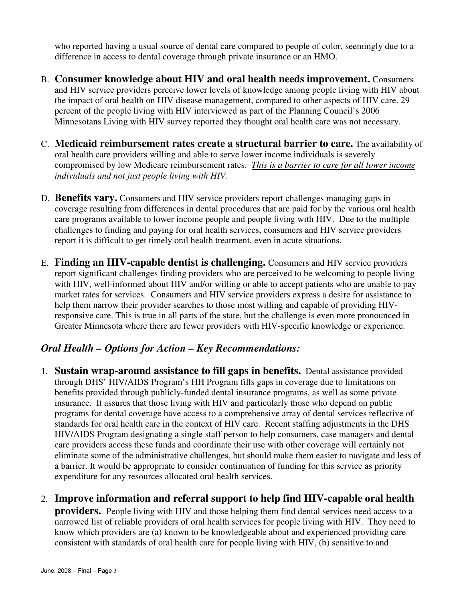who reported having a usual source of dental care compared to people of color, seemingly due to a difference in access to dental coverage through private insurance or an HMO.

- B. **Consumer knowledge about HIV and oral health needs improvement.** Consumers and HIV service providers perceive lower levels of knowledge among people living with HIV about the impact of oral health on HIV disease management, compared to other aspects of HIV care. 29 percent of the people living with HIV interviewed as part of the Planning Council's 2006 Minnesotans Living with HIV survey reported they thought oral health care was not necessary.
- C. **Medicaid reimbursement rates create a structural barrier to care.** The availability of oral health care providers willing and able to serve lower income individuals is severely compromised by low Medicare reimbursement rates. *This is a barrier to care for all lower income individuals and not just people living with HIV.*
- D. **Benefits vary.** Consumers and HIV service providers report challenges managing gaps in coverage resulting from differences in dental procedures that are paid for by the various oral health care programs available to lower income people and people living with HIV. Due to the multiple challenges to finding and paying for oral health services, consumers and HIV service providers report it is difficult to get timely oral health treatment, even in acute situations.
- E. **Finding an HIV-capable dentist is challenging.** Consumers and HIV service providers report significant challenges finding providers who are perceived to be welcoming to people living with HIV, well-informed about HIV and/or willing or able to accept patients who are unable to pay market rates for services. Consumers and HIV service providers express a desire for assistance to help them narrow their provider searches to those most willing and capable of providing HIVresponsive care. This is true in all parts of the state, but the challenge is even more pronounced in Greater Minnesota where there are fewer providers with HIV-specific knowledge or experience.

# *Oral Health – Options for Action – Key Recommendations:*

- 1. **Sustain wrap-around assistance to fill gaps in benefits.** Dental assistance provided through DHS' HIV/AIDS Program's HH Program fills gaps in coverage due to limitations on benefits provided through publicly-funded dental insurance programs, as well as some private insurance. It assures that those living with HIV and particularly those who depend on public programs for dental coverage have access to a comprehensive array of dental services reflective of standards for oral health care in the context of HIV care. Recent staffing adjustments in the DHS HIV/AIDS Program designating a single staff person to help consumers, case managers and dental care providers access these funds and coordinate their use with other coverage will certainly not eliminate some of the administrative challenges, but should make them easier to navigate and less of a barrier. It would be appropriate to consider continuation of funding for this service as priority expenditure for any resources allocated oral health services.
- 2. **Improve information and referral support to help find HIV-capable oral health providers.** People living with HIV and those helping them find dental services need access to a narrowed list of reliable providers of oral health services for people living with HIV. They need to know which providers are (a) known to be knowledgeable about and experienced providing care consistent with standards of oral health care for people living with HIV, (b) sensitive to and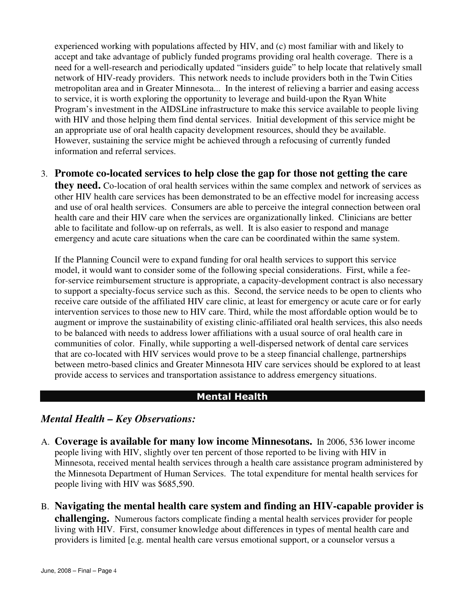experienced working with populations affected by HIV, and (c) most familiar with and likely to accept and take advantage of publicly funded programs providing oral health coverage. There is a need for a well-research and periodically updated "insiders guide" to help locate that relatively small network of HIV-ready providers. This network needs to include providers both in the Twin Cities metropolitan area and in Greater Minnesota... In the interest of relieving a barrier and easing access to service, it is worth exploring the opportunity to leverage and build-upon the Ryan White Program's investment in the AIDSLine infrastructure to make this service available to people living with HIV and those helping them find dental services. Initial development of this service might be an appropriate use of oral health capacity development resources, should they be available. However, sustaining the service might be achieved through a refocusing of currently funded information and referral services.

## 3. **Promote co-located services to help close the gap for those not getting the care**

**they need.** Co-location of oral health services within the same complex and network of services as other HIV health care services has been demonstrated to be an effective model for increasing access and use of oral health services. Consumers are able to perceive the integral connection between oral health care and their HIV care when the services are organizationally linked. Clinicians are better able to facilitate and follow-up on referrals, as well. It is also easier to respond and manage emergency and acute care situations when the care can be coordinated within the same system.

 If the Planning Council were to expand funding for oral health services to support this service model, it would want to consider some of the following special considerations. First, while a feefor-service reimbursement structure is appropriate, a capacity-development contract is also necessary to support a specialty-focus service such as this. Second, the service needs to be open to clients who receive care outside of the affiliated HIV care clinic, at least for emergency or acute care or for early intervention services to those new to HIV care. Third, while the most affordable option would be to augment or improve the sustainability of existing clinic-affiliated oral health services, this also needs to be balanced with needs to address lower affiliations with a usual source of oral health care in communities of color. Finally, while supporting a well-dispersed network of dental care services that are co-located with HIV services would prove to be a steep financial challenge, partnerships between metro-based clinics and Greater Minnesota HIV care services should be explored to at least provide access to services and transportation assistance to address emergency situations.

# Mental Health

## *Mental Health – Key Observations:*

- A. **Coverage is available for many low income Minnesotans.** In 2006, 536 lower income people living with HIV, slightly over ten percent of those reported to be living with HIV in Minnesota, received mental health services through a health care assistance program administered by the Minnesota Department of Human Services. The total expenditure for mental health services for people living with HIV was \$685,590.
- B. **Navigating the mental health care system and finding an HIV-capable provider is challenging.** Numerous factors complicate finding a mental health services provider for people living with HIV. First, consumer knowledge about differences in types of mental health care and providers is limited [e.g. mental health care versus emotional support, or a counselor versus a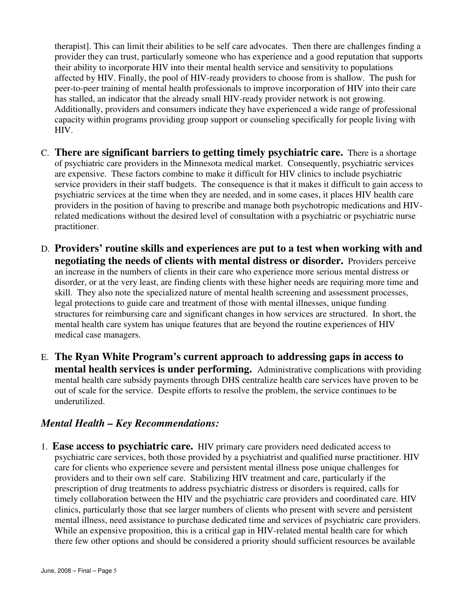therapist]. This can limit their abilities to be self care advocates. Then there are challenges finding a provider they can trust, particularly someone who has experience and a good reputation that supports their ability to incorporate HIV into their mental health service and sensitivity to populations affected by HIV. Finally, the pool of HIV-ready providers to choose from is shallow. The push for peer-to-peer training of mental health professionals to improve incorporation of HIV into their care has stalled, an indicator that the already small HIV-ready provider network is not growing. Additionally, providers and consumers indicate they have experienced a wide range of professional capacity within programs providing group support or counseling specifically for people living with HIV.

- C. **There are significant barriers to getting timely psychiatric care.** There is a shortage of psychiatric care providers in the Minnesota medical market. Consequently, psychiatric services are expensive. These factors combine to make it difficult for HIV clinics to include psychiatric service providers in their staff budgets. The consequence is that it makes it difficult to gain access to psychiatric services at the time when they are needed, and in some cases, it places HIV health care providers in the position of having to prescribe and manage both psychotropic medications and HIVrelated medications without the desired level of consultation with a psychiatric or psychiatric nurse practitioner.
- D. **Providers' routine skills and experiences are put to a test when working with and negotiating the needs of clients with mental distress or disorder.** Providers perceive an increase in the numbers of clients in their care who experience more serious mental distress or disorder, or at the very least, are finding clients with these higher needs are requiring more time and skill. They also note the specialized nature of mental health screening and assessment processes, legal protections to guide care and treatment of those with mental illnesses, unique funding structures for reimbursing care and significant changes in how services are structured. In short, the mental health care system has unique features that are beyond the routine experiences of HIV medical case managers.
- E. **The Ryan White Program's current approach to addressing gaps in access to mental health services is under performing.** Administrative complications with providing mental health care subsidy payments through DHS centralize health care services have proven to be out of scale for the service. Despite efforts to resolve the problem, the service continues to be underutilized.

## *Mental Health – Key Recommendations:*

1. **Ease access to psychiatric care.** HIV primary care providers need dedicated access to psychiatric care services, both those provided by a psychiatrist and qualified nurse practitioner. HIV care for clients who experience severe and persistent mental illness pose unique challenges for providers and to their own self care. Stabilizing HIV treatment and care, particularly if the prescription of drug treatments to address psychiatric distress or disorders is required, calls for timely collaboration between the HIV and the psychiatric care providers and coordinated care. HIV clinics, particularly those that see larger numbers of clients who present with severe and persistent mental illness, need assistance to purchase dedicated time and services of psychiatric care providers. While an expensive proposition, this is a critical gap in HIV-related mental health care for which there few other options and should be considered a priority should sufficient resources be available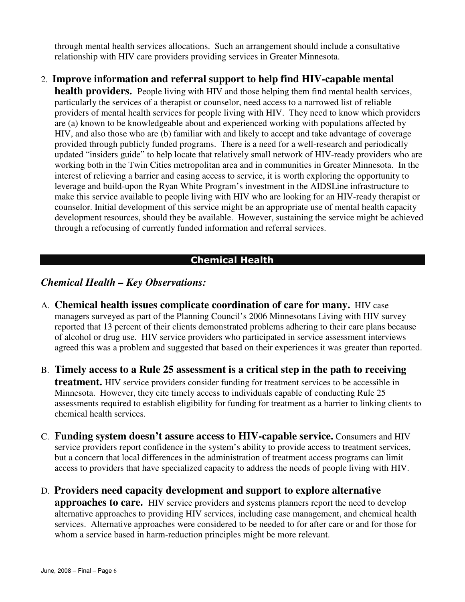through mental health services allocations. Such an arrangement should include a consultative relationship with HIV care providers providing services in Greater Minnesota.

## 2. **Improve information and referral support to help find HIV-capable mental**

**health providers.** People living with HIV and those helping them find mental health services, particularly the services of a therapist or counselor, need access to a narrowed list of reliable providers of mental health services for people living with HIV. They need to know which providers are (a) known to be knowledgeable about and experienced working with populations affected by HIV, and also those who are (b) familiar with and likely to accept and take advantage of coverage provided through publicly funded programs. There is a need for a well-research and periodically updated "insiders guide" to help locate that relatively small network of HIV-ready providers who are working both in the Twin Cities metropolitan area and in communities in Greater Minnesota. In the interest of relieving a barrier and easing access to service, it is worth exploring the opportunity to leverage and build-upon the Ryan White Program's investment in the AIDSLine infrastructure to make this service available to people living with HIV who are looking for an HIV-ready therapist or counselor. Initial development of this service might be an appropriate use of mental health capacity development resources, should they be available. However, sustaining the service might be achieved through a refocusing of currently funded information and referral services.

## Chemical Health

#### *Chemical Health – Key Observations:*

- A. **Chemical health issues complicate coordination of care for many.** HIV case managers surveyed as part of the Planning Council's 2006 Minnesotans Living with HIV survey reported that 13 percent of their clients demonstrated problems adhering to their care plans because of alcohol or drug use. HIV service providers who participated in service assessment interviews agreed this was a problem and suggested that based on their experiences it was greater than reported.
- B. **Timely access to a Rule 25 assessment is a critical step in the path to receiving treatment.** HIV service providers consider funding for treatment services to be accessible in Minnesota. However, they cite timely access to individuals capable of conducting Rule 25 assessments required to establish eligibility for funding for treatment as a barrier to linking clients to chemical health services.
- C. **Funding system doesn't assure access to HIV-capable service.** Consumers and HIV service providers report confidence in the system's ability to provide access to treatment services, but a concern that local differences in the administration of treatment access programs can limit access to providers that have specialized capacity to address the needs of people living with HIV.
- D. **Providers need capacity development and support to explore alternative**

**approaches to care.** HIV service providers and systems planners report the need to develop alternative approaches to providing HIV services, including case management, and chemical health services. Alternative approaches were considered to be needed to for after care or and for those for whom a service based in harm-reduction principles might be more relevant.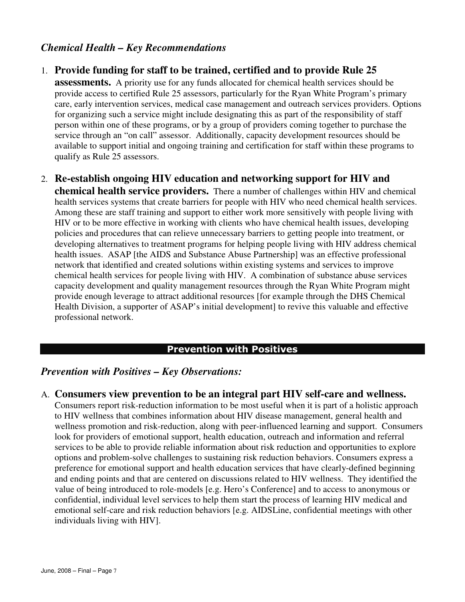## *Chemical Health – Key Recommendations*

#### 1. **Provide funding for staff to be trained, certified and to provide Rule 25**

**assessments.** A priority use for any funds allocated for chemical health services should be provide access to certified Rule 25 assessors, particularly for the Ryan White Program's primary care, early intervention services, medical case management and outreach services providers. Options for organizing such a service might include designating this as part of the responsibility of staff person within one of these programs, or by a group of providers coming together to purchase the service through an "on call" assessor. Additionally, capacity development resources should be available to support initial and ongoing training and certification for staff within these programs to qualify as Rule 25 assessors.

2. **Re-establish ongoing HIV education and networking support for HIV and chemical health service providers.** There a number of challenges within HIV and chemical health services systems that create barriers for people with HIV who need chemical health services. Among these are staff training and support to either work more sensitively with people living with HIV or to be more effective in working with clients who have chemical health issues, developing policies and procedures that can relieve unnecessary barriers to getting people into treatment, or developing alternatives to treatment programs for helping people living with HIV address chemical health issues. ASAP [the AIDS and Substance Abuse Partnership] was an effective professional network that identified and created solutions within existing systems and services to improve chemical health services for people living with HIV. A combination of substance abuse services capacity development and quality management resources through the Ryan White Program might provide enough leverage to attract additional resources [for example through the DHS Chemical Health Division, a supporter of ASAP's initial development] to revive this valuable and effective professional network.

#### Prevention with Positives

#### *Prevention with Positives – Key Observations:*

#### A. **Consumers view prevention to be an integral part HIV self-care and wellness.**

Consumers report risk-reduction information to be most useful when it is part of a holistic approach to HIV wellness that combines information about HIV disease management, general health and wellness promotion and risk-reduction, along with peer-influenced learning and support. Consumers look for providers of emotional support, health education, outreach and information and referral services to be able to provide reliable information about risk reduction and opportunities to explore options and problem-solve challenges to sustaining risk reduction behaviors. Consumers express a preference for emotional support and health education services that have clearly-defined beginning and ending points and that are centered on discussions related to HIV wellness. They identified the value of being introduced to role-models [e.g. Hero's Conference] and to access to anonymous or confidential, individual level services to help them start the process of learning HIV medical and emotional self-care and risk reduction behaviors [e.g. AIDSLine, confidential meetings with other individuals living with HIV].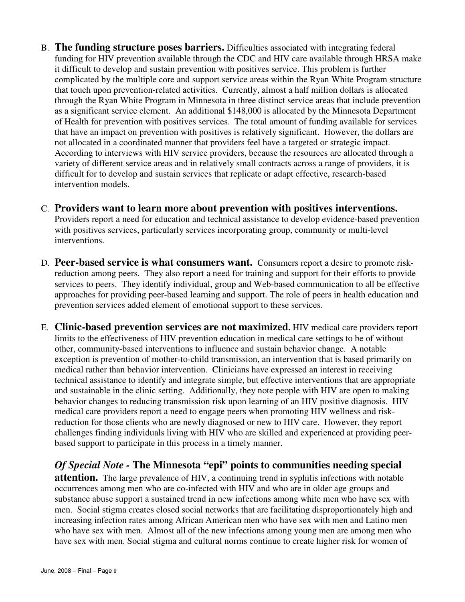- B. **The funding structure poses barriers.** Difficulties associated with integrating federal funding for HIV prevention available through the CDC and HIV care available through HRSA make it difficult to develop and sustain prevention with positives service. This problem is further complicated by the multiple core and support service areas within the Ryan White Program structure that touch upon prevention-related activities. Currently, almost a half million dollars is allocated through the Ryan White Program in Minnesota in three distinct service areas that include prevention as a significant service element. An additional \$148,000 is allocated by the Minnesota Department of Health for prevention with positives services. The total amount of funding available for services that have an impact on prevention with positives is relatively significant. However, the dollars are not allocated in a coordinated manner that providers feel have a targeted or strategic impact. According to interviews with HIV service providers, because the resources are allocated through a variety of different service areas and in relatively small contracts across a range of providers, it is difficult for to develop and sustain services that replicate or adapt effective, research-based intervention models.
- C. **Providers want to learn more about prevention with positives interventions.**  Providers report a need for education and technical assistance to develop evidence-based prevention with positives services, particularly services incorporating group, community or multi-level interventions.
- D. **Peer-based service is what consumers want.** Consumers report a desire to promote riskreduction among peers. They also report a need for training and support for their efforts to provide services to peers. They identify individual, group and Web-based communication to all be effective approaches for providing peer-based learning and support. The role of peers in health education and prevention services added element of emotional support to these services.
- E. **Clinic-based prevention services are not maximized.** HIV medical care providers report limits to the effectiveness of HIV prevention education in medical care settings to be of without other, community-based interventions to influence and sustain behavior change. A notable exception is prevention of mother-to-child transmission, an intervention that is based primarily on medical rather than behavior intervention. Clinicians have expressed an interest in receiving technical assistance to identify and integrate simple, but effective interventions that are appropriate and sustainable in the clinic setting. Additionally, they note people with HIV are open to making behavior changes to reducing transmission risk upon learning of an HIV positive diagnosis. HIV medical care providers report a need to engage peers when promoting HIV wellness and riskreduction for those clients who are newly diagnosed or new to HIV care. However, they report challenges finding individuals living with HIV who are skilled and experienced at providing peerbased support to participate in this process in a timely manner.

*Of Special Note -* **The Minnesota "epi" points to communities needing special attention.** The large prevalence of HIV, a continuing trend in syphilis infections with notable occurrences among men who are co-infected with HIV and who are in older age groups and substance abuse support a sustained trend in new infections among white men who have sex with men. Social stigma creates closed social networks that are facilitating disproportionately high and increasing infection rates among African American men who have sex with men and Latino men who have sex with men. Almost all of the new infections among young men are among men who have sex with men. Social stigma and cultural norms continue to create higher risk for women of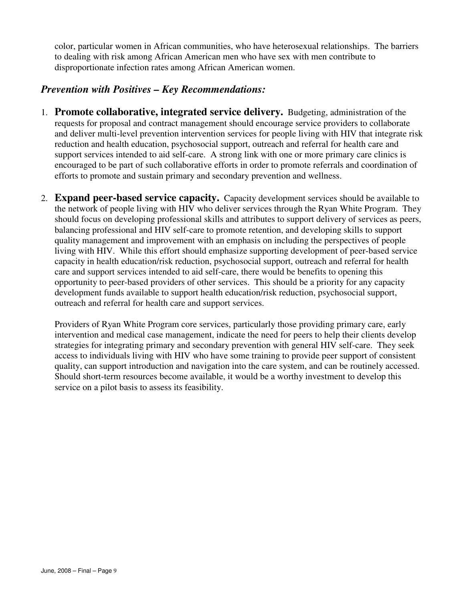color, particular women in African communities, who have heterosexual relationships. The barriers to dealing with risk among African American men who have sex with men contribute to disproportionate infection rates among African American women.

## *Prevention with Positives – Key Recommendations:*

- 1. **Promote collaborative, integrated service delivery.** Budgeting, administration of the requests for proposal and contract management should encourage service providers to collaborate and deliver multi-level prevention intervention services for people living with HIV that integrate risk reduction and health education, psychosocial support, outreach and referral for health care and support services intended to aid self-care. A strong link with one or more primary care clinics is encouraged to be part of such collaborative efforts in order to promote referrals and coordination of efforts to promote and sustain primary and secondary prevention and wellness.
- 2. **Expand peer-based service capacity.** Capacity development services should be available to the network of people living with HIV who deliver services through the Ryan White Program. They should focus on developing professional skills and attributes to support delivery of services as peers, balancing professional and HIV self-care to promote retention, and developing skills to support quality management and improvement with an emphasis on including the perspectives of people living with HIV. While this effort should emphasize supporting development of peer-based service capacity in health education/risk reduction, psychosocial support, outreach and referral for health care and support services intended to aid self-care, there would be benefits to opening this opportunity to peer-based providers of other services. This should be a priority for any capacity development funds available to support health education/risk reduction, psychosocial support, outreach and referral for health care and support services.

Providers of Ryan White Program core services, particularly those providing primary care, early intervention and medical case management, indicate the need for peers to help their clients develop strategies for integrating primary and secondary prevention with general HIV self-care. They seek access to individuals living with HIV who have some training to provide peer support of consistent quality, can support introduction and navigation into the care system, and can be routinely accessed. Should short-term resources become available, it would be a worthy investment to develop this service on a pilot basis to assess its feasibility.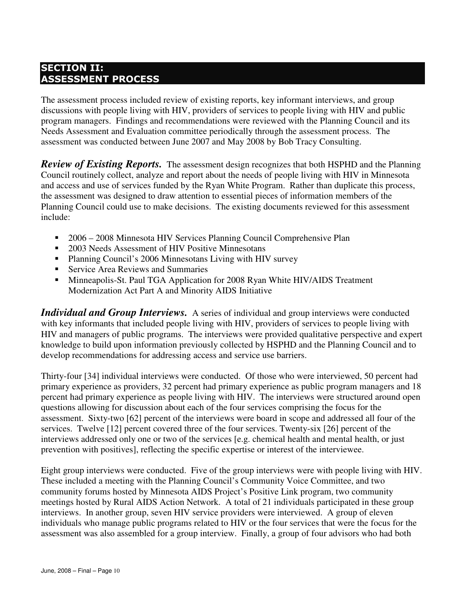## SECTION II: ASSESSMENT PROCESS

The assessment process included review of existing reports, key informant interviews, and group discussions with people living with HIV, providers of services to people living with HIV and public program managers. Findings and recommendations were reviewed with the Planning Council and its Needs Assessment and Evaluation committee periodically through the assessment process. The assessment was conducted between June 2007 and May 2008 by Bob Tracy Consulting.

*Review of Existing Reports.* The assessment design recognizes that both HSPHD and the Planning Council routinely collect, analyze and report about the needs of people living with HIV in Minnesota and access and use of services funded by the Ryan White Program. Rather than duplicate this process, the assessment was designed to draw attention to essential pieces of information members of the Planning Council could use to make decisions. The existing documents reviewed for this assessment include:

- 2006 2008 Minnesota HIV Services Planning Council Comprehensive Plan
- 2003 Needs Assessment of HIV Positive Minnesotans
- Planning Council's 2006 Minnesotans Living with HIV survey
- Service Area Reviews and Summaries
- Minneapolis-St. Paul TGA Application for 2008 Ryan White HIV/AIDS Treatment Modernization Act Part A and Minority AIDS Initiative

**Individual and Group Interviews.** A series of individual and group interviews were conducted with key informants that included people living with HIV, providers of services to people living with HIV and managers of public programs. The interviews were provided qualitative perspective and expert knowledge to build upon information previously collected by HSPHD and the Planning Council and to develop recommendations for addressing access and service use barriers.

Thirty-four [34] individual interviews were conducted. Of those who were interviewed, 50 percent had primary experience as providers, 32 percent had primary experience as public program managers and 18 percent had primary experience as people living with HIV. The interviews were structured around open questions allowing for discussion about each of the four services comprising the focus for the assessment. Sixty-two [62] percent of the interviews were board in scope and addressed all four of the services. Twelve [12] percent covered three of the four services. Twenty-six [26] percent of the interviews addressed only one or two of the services [e.g. chemical health and mental health, or just prevention with positives], reflecting the specific expertise or interest of the interviewee.

Eight group interviews were conducted. Five of the group interviews were with people living with HIV. These included a meeting with the Planning Council's Community Voice Committee, and two community forums hosted by Minnesota AIDS Project's Positive Link program, two community meetings hosted by Rural AIDS Action Network. A total of 21 individuals participated in these group interviews. In another group, seven HIV service providers were interviewed. A group of eleven individuals who manage public programs related to HIV or the four services that were the focus for the assessment was also assembled for a group interview. Finally, a group of four advisors who had both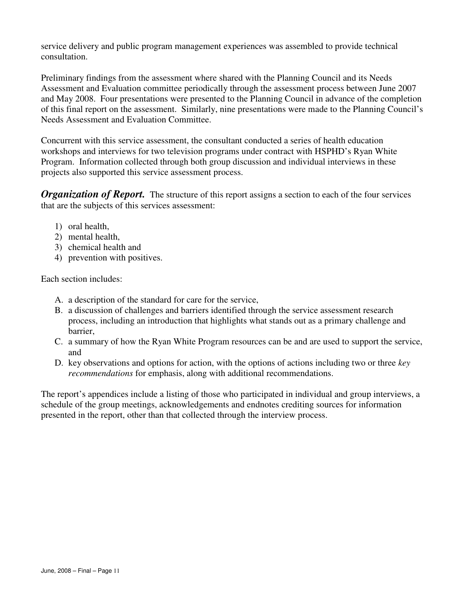service delivery and public program management experiences was assembled to provide technical consultation.

Preliminary findings from the assessment where shared with the Planning Council and its Needs Assessment and Evaluation committee periodically through the assessment process between June 2007 and May 2008. Four presentations were presented to the Planning Council in advance of the completion of this final report on the assessment. Similarly, nine presentations were made to the Planning Council's Needs Assessment and Evaluation Committee.

Concurrent with this service assessment, the consultant conducted a series of health education workshops and interviews for two television programs under contract with HSPHD's Ryan White Program. Information collected through both group discussion and individual interviews in these projects also supported this service assessment process.

*Organization of Report.* The structure of this report assigns a section to each of the four services that are the subjects of this services assessment:

- 1) oral health,
- 2) mental health,
- 3) chemical health and
- 4) prevention with positives.

Each section includes:

- A. a description of the standard for care for the service,
- B. a discussion of challenges and barriers identified through the service assessment research process, including an introduction that highlights what stands out as a primary challenge and barrier,
- C. a summary of how the Ryan White Program resources can be and are used to support the service, and
- D. key observations and options for action, with the options of actions including two or three *key recommendations* for emphasis, along with additional recommendations.

The report's appendices include a listing of those who participated in individual and group interviews, a schedule of the group meetings, acknowledgements and endnotes crediting sources for information presented in the report, other than that collected through the interview process.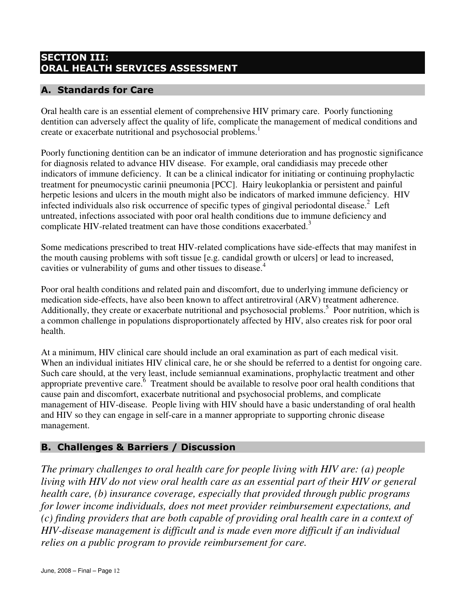## SECTION III: ORAL HEALTH SERVICES ASSESSMENT

## A. Standards for Care

Oral health care is an essential element of comprehensive HIV primary care. Poorly functioning dentition can adversely affect the quality of life, complicate the management of medical conditions and create or exacerbate nutritional and psychosocial problems.<sup>1</sup>

Poorly functioning dentition can be an indicator of immune deterioration and has prognostic significance for diagnosis related to advance HIV disease. For example, oral candidiasis may precede other indicators of immune deficiency. It can be a clinical indicator for initiating or continuing prophylactic treatment for pneumocystic carinii pneumonia [PCC]. Hairy leukoplankia or persistent and painful herpetic lesions and ulcers in the mouth might also be indicators of marked immune deficiency. HIV infected individuals also risk occurrence of specific types of gingival periodontal disease.<sup>2</sup> Left untreated, infections associated with poor oral health conditions due to immune deficiency and complicate HIV-related treatment can have those conditions exacerbated.<sup>3</sup>

Some medications prescribed to treat HIV-related complications have side-effects that may manifest in the mouth causing problems with soft tissue [e.g. candidal growth or ulcers] or lead to increased, cavities or vulnerability of gums and other tissues to disease.<sup>4</sup>

Poor oral health conditions and related pain and discomfort, due to underlying immune deficiency or medication side-effects, have also been known to affect antiretroviral (ARV) treatment adherence. Additionally, they create or exacerbate nutritional and psychosocial problems.<sup>5</sup> Poor nutrition, which is a common challenge in populations disproportionately affected by HIV, also creates risk for poor oral health.

At a minimum, HIV clinical care should include an oral examination as part of each medical visit. When an individual initiates HIV clinical care, he or she should be referred to a dentist for ongoing care. Such care should, at the very least, include semiannual examinations, prophylactic treatment and other appropriate preventive care.<sup>6</sup> Treatment should be available to resolve poor oral health conditions that cause pain and discomfort, exacerbate nutritional and psychosocial problems, and complicate management of HIV-disease. People living with HIV should have a basic understanding of oral health and HIV so they can engage in self-care in a manner appropriate to supporting chronic disease management.

## B. Challenges & Barriers / Discussion

*The primary challenges to oral health care for people living with HIV are: (a) people living with HIV do not view oral health care as an essential part of their HIV or general health care, (b) insurance coverage, especially that provided through public programs for lower income individuals, does not meet provider reimbursement expectations, and (c) finding providers that are both capable of providing oral health care in a context of HIV-disease management is difficult and is made even more difficult if an individual relies on a public program to provide reimbursement for care.*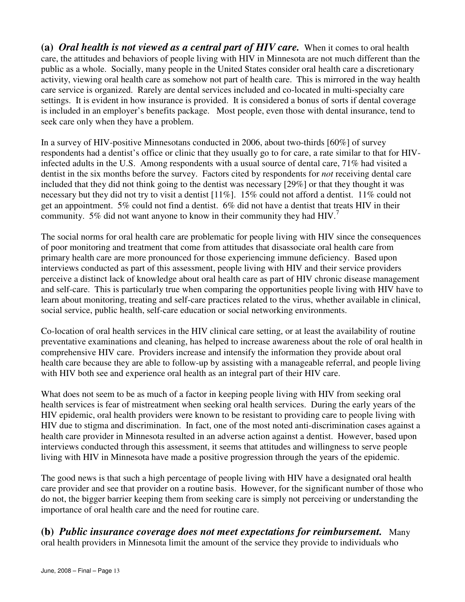**(a)** *Oral health is not viewed as a central part of HIV care.* When it comes to oral health care, the attitudes and behaviors of people living with HIV in Minnesota are not much different than the public as a whole. Socially, many people in the United States consider oral health care a discretionary activity, viewing oral health care as somehow not part of health care. This is mirrored in the way health care service is organized. Rarely are dental services included and co-located in multi-specialty care settings. It is evident in how insurance is provided. It is considered a bonus of sorts if dental coverage is included in an employer's benefits package. Most people, even those with dental insurance, tend to seek care only when they have a problem.

In a survey of HIV-positive Minnesotans conducted in 2006, about two-thirds [60%] of survey respondents had a dentist's office or clinic that they usually go to for care, a rate similar to that for HIVinfected adults in the U.S. Among respondents with a usual source of dental care, 71% had visited a dentist in the six months before the survey. Factors cited by respondents for *not* receiving dental care included that they did not think going to the dentist was necessary [29%] or that they thought it was necessary but they did not try to visit a dentist [11%]. 15% could not afford a dentist. 11% could not get an appointment. 5% could not find a dentist. 6% did not have a dentist that treats HIV in their community. 5% did not want anyone to know in their community they had  $HIV$ <sup>7</sup>

The social norms for oral health care are problematic for people living with HIV since the consequences of poor monitoring and treatment that come from attitudes that disassociate oral health care from primary health care are more pronounced for those experiencing immune deficiency. Based upon interviews conducted as part of this assessment, people living with HIV and their service providers perceive a distinct lack of knowledge about oral health care as part of HIV chronic disease management and self-care. This is particularly true when comparing the opportunities people living with HIV have to learn about monitoring, treating and self-care practices related to the virus, whether available in clinical, social service, public health, self-care education or social networking environments.

Co-location of oral health services in the HIV clinical care setting, or at least the availability of routine preventative examinations and cleaning, has helped to increase awareness about the role of oral health in comprehensive HIV care. Providers increase and intensify the information they provide about oral health care because they are able to follow-up by assisting with a manageable referral, and people living with HIV both see and experience oral health as an integral part of their HIV care.

What does not seem to be as much of a factor in keeping people living with HIV from seeking oral health services is fear of mistreatment when seeking oral health services. During the early years of the HIV epidemic, oral health providers were known to be resistant to providing care to people living with HIV due to stigma and discrimination. In fact, one of the most noted anti-discrimination cases against a health care provider in Minnesota resulted in an adverse action against a dentist. However, based upon interviews conducted through this assessment, it seems that attitudes and willingness to serve people living with HIV in Minnesota have made a positive progression through the years of the epidemic.

The good news is that such a high percentage of people living with HIV have a designated oral health care provider and see that provider on a routine basis. However, for the significant number of those who do not, the bigger barrier keeping them from seeking care is simply not perceiving or understanding the importance of oral health care and the need for routine care.

**(b)** *Public insurance coverage does not meet expectations for reimbursement.* Many oral health providers in Minnesota limit the amount of the service they provide to individuals who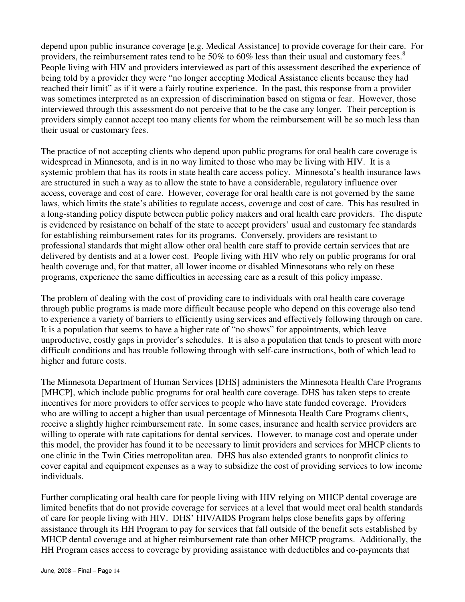depend upon public insurance coverage [e.g. Medical Assistance] to provide coverage for their care. For providers, the reimbursement rates tend to be 50% to 60% less than their usual and customary fees.<sup>8</sup> People living with HIV and providers interviewed as part of this assessment described the experience of being told by a provider they were "no longer accepting Medical Assistance clients because they had reached their limit" as if it were a fairly routine experience. In the past, this response from a provider was sometimes interpreted as an expression of discrimination based on stigma or fear. However, those interviewed through this assessment do not perceive that to be the case any longer. Their perception is providers simply cannot accept too many clients for whom the reimbursement will be so much less than their usual or customary fees.

The practice of not accepting clients who depend upon public programs for oral health care coverage is widespread in Minnesota, and is in no way limited to those who may be living with HIV. It is a systemic problem that has its roots in state health care access policy. Minnesota's health insurance laws are structured in such a way as to allow the state to have a considerable, regulatory influence over access, coverage and cost of care. However, coverage for oral health care is not governed by the same laws, which limits the state's abilities to regulate access, coverage and cost of care. This has resulted in a long-standing policy dispute between public policy makers and oral health care providers. The dispute is evidenced by resistance on behalf of the state to accept providers' usual and customary fee standards for establishing reimbursement rates for its programs. Conversely, providers are resistant to professional standards that might allow other oral health care staff to provide certain services that are delivered by dentists and at a lower cost. People living with HIV who rely on public programs for oral health coverage and, for that matter, all lower income or disabled Minnesotans who rely on these programs, experience the same difficulties in accessing care as a result of this policy impasse.

The problem of dealing with the cost of providing care to individuals with oral health care coverage through public programs is made more difficult because people who depend on this coverage also tend to experience a variety of barriers to efficiently using services and effectively following through on care. It is a population that seems to have a higher rate of "no shows" for appointments, which leave unproductive, costly gaps in provider's schedules. It is also a population that tends to present with more difficult conditions and has trouble following through with self-care instructions, both of which lead to higher and future costs.

The Minnesota Department of Human Services [DHS] administers the Minnesota Health Care Programs [MHCP], which include public programs for oral health care coverage. DHS has taken steps to create incentives for more providers to offer services to people who have state funded coverage. Providers who are willing to accept a higher than usual percentage of Minnesota Health Care Programs clients, receive a slightly higher reimbursement rate. In some cases, insurance and health service providers are willing to operate with rate capitations for dental services. However, to manage cost and operate under this model, the provider has found it to be necessary to limit providers and services for MHCP clients to one clinic in the Twin Cities metropolitan area. DHS has also extended grants to nonprofit clinics to cover capital and equipment expenses as a way to subsidize the cost of providing services to low income individuals.

Further complicating oral health care for people living with HIV relying on MHCP dental coverage are limited benefits that do not provide coverage for services at a level that would meet oral health standards of care for people living with HIV. DHS' HIV/AIDS Program helps close benefits gaps by offering assistance through its HH Program to pay for services that fall outside of the benefit sets established by MHCP dental coverage and at higher reimbursement rate than other MHCP programs. Additionally, the HH Program eases access to coverage by providing assistance with deductibles and co-payments that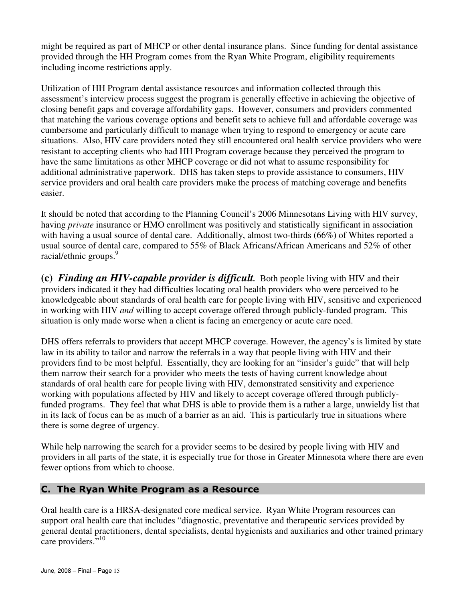might be required as part of MHCP or other dental insurance plans. Since funding for dental assistance provided through the HH Program comes from the Ryan White Program, eligibility requirements including income restrictions apply.

Utilization of HH Program dental assistance resources and information collected through this assessment's interview process suggest the program is generally effective in achieving the objective of closing benefit gaps and coverage affordability gaps. However, consumers and providers commented that matching the various coverage options and benefit sets to achieve full and affordable coverage was cumbersome and particularly difficult to manage when trying to respond to emergency or acute care situations. Also, HIV care providers noted they still encountered oral health service providers who were resistant to accepting clients who had HH Program coverage because they perceived the program to have the same limitations as other MHCP coverage or did not what to assume responsibility for additional administrative paperwork. DHS has taken steps to provide assistance to consumers, HIV service providers and oral health care providers make the process of matching coverage and benefits easier.

It should be noted that according to the Planning Council's 2006 Minnesotans Living with HIV survey, having *private* insurance or HMO enrollment was positively and statistically significant in association with having a usual source of dental care. Additionally, almost two-thirds (66%) of Whites reported a usual source of dental care, compared to 55% of Black Africans/African Americans and 52% of other racial/ethnic groups.<sup>9</sup>

**(c)** *Finding an HIV-capable provider is difficult.* Both people living with HIV and their providers indicated it they had difficulties locating oral health providers who were perceived to be knowledgeable about standards of oral health care for people living with HIV, sensitive and experienced in working with HIV *and* willing to accept coverage offered through publicly-funded program. This situation is only made worse when a client is facing an emergency or acute care need.

DHS offers referrals to providers that accept MHCP coverage. However, the agency's is limited by state law in its ability to tailor and narrow the referrals in a way that people living with HIV and their providers find to be most helpful. Essentially, they are looking for an "insider's guide" that will help them narrow their search for a provider who meets the tests of having current knowledge about standards of oral health care for people living with HIV, demonstrated sensitivity and experience working with populations affected by HIV and likely to accept coverage offered through publiclyfunded programs. They feel that what DHS is able to provide them is a rather a large, unwieldy list that in its lack of focus can be as much of a barrier as an aid. This is particularly true in situations where there is some degree of urgency.

While help narrowing the search for a provider seems to be desired by people living with HIV and providers in all parts of the state, it is especially true for those in Greater Minnesota where there are even fewer options from which to choose.

#### C. The Ryan White Program as a Resource

Oral health care is a HRSA-designated core medical service. Ryan White Program resources can support oral health care that includes "diagnostic, preventative and therapeutic services provided by general dental practitioners, dental specialists, dental hygienists and auxiliaries and other trained primary care providers."<sup>10</sup>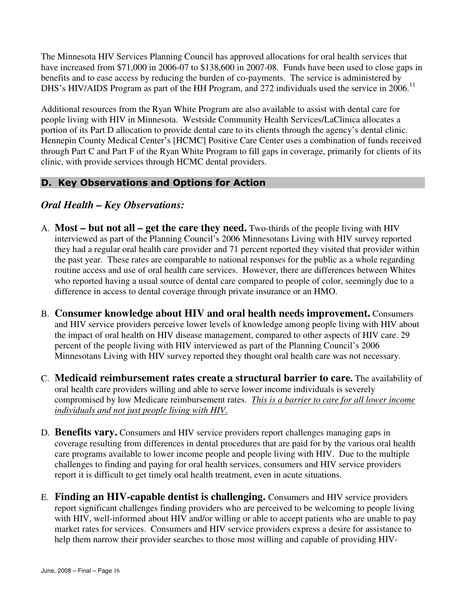The Minnesota HIV Services Planning Council has approved allocations for oral health services that have increased from \$71,000 in 2006-07 to \$138,600 in 2007-08. Funds have been used to close gaps in benefits and to ease access by reducing the burden of co-payments. The service is administered by DHS's HIV/AIDS Program as part of the HH Program, and 272 individuals used the service in 2006.<sup>11</sup>

Additional resources from the Ryan White Program are also available to assist with dental care for people living with HIV in Minnesota. Westside Community Health Services/LaClinica allocates a portion of its Part D allocation to provide dental care to its clients through the agency's dental clinic. Hennepin County Medical Center's [HCMC] Positive Care Center uses a combination of funds received through Part C and Part F of the Ryan White Program to fill gaps in coverage, primarily for clients of its clinic, with provide services through HCMC dental providers.

## D. Key Observations and Options for Action

#### *Oral Health – Key Observations:*

- A. **Most but not all get the care they need.** Two-thirds of the people living with HIV interviewed as part of the Planning Council's 2006 Minnesotans Living with HIV survey reported they had a regular oral health care provider and 71 percent reported they visited that provider within the past year. These rates are comparable to national responses for the public as a whole regarding routine access and use of oral health care services. However, there are differences between Whites who reported having a usual source of dental care compared to people of color, seemingly due to a difference in access to dental coverage through private insurance or an HMO.
- B. **Consumer knowledge about HIV and oral health needs improvement.** Consumers and HIV service providers perceive lower levels of knowledge among people living with HIV about the impact of oral health on HIV disease management, compared to other aspects of HIV care. 29 percent of the people living with HIV interviewed as part of the Planning Council's 2006 Minnesotans Living with HIV survey reported they thought oral health care was not necessary.
- C. **Medicaid reimbursement rates create a structural barrier to care.** The availability of oral health care providers willing and able to serve lower income individuals is severely compromised by low Medicare reimbursement rates. *This is a barrier to care for all lower income individuals and not just people living with HIV.*
- D. **Benefits vary.** Consumers and HIV service providers report challenges managing gaps in coverage resulting from differences in dental procedures that are paid for by the various oral health care programs available to lower income people and people living with HIV. Due to the multiple challenges to finding and paying for oral health services, consumers and HIV service providers report it is difficult to get timely oral health treatment, even in acute situations.
- E. **Finding an HIV-capable dentist is challenging.** Consumers and HIV service providers report significant challenges finding providers who are perceived to be welcoming to people living with HIV, well-informed about HIV and/or willing or able to accept patients who are unable to pay market rates for services. Consumers and HIV service providers express a desire for assistance to help them narrow their provider searches to those most willing and capable of providing HIV-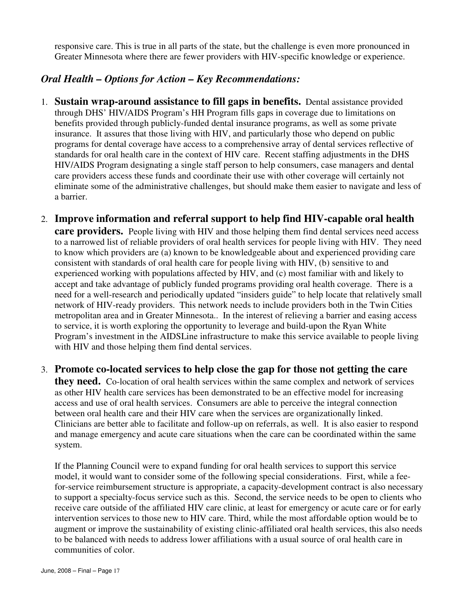responsive care. This is true in all parts of the state, but the challenge is even more pronounced in Greater Minnesota where there are fewer providers with HIV-specific knowledge or experience.

## *Oral Health – Options for Action – Key Recommendations:*

- 1. **Sustain wrap-around assistance to fill gaps in benefits.** Dental assistance provided through DHS' HIV/AIDS Program's HH Program fills gaps in coverage due to limitations on benefits provided through publicly-funded dental insurance programs, as well as some private insurance. It assures that those living with HIV, and particularly those who depend on public programs for dental coverage have access to a comprehensive array of dental services reflective of standards for oral health care in the context of HIV care. Recent staffing adjustments in the DHS HIV/AIDS Program designating a single staff person to help consumers, case managers and dental care providers access these funds and coordinate their use with other coverage will certainly not eliminate some of the administrative challenges, but should make them easier to navigate and less of a barrier.
- 2. **Improve information and referral support to help find HIV-capable oral health care providers.** People living with HIV and those helping them find dental services need access to a narrowed list of reliable providers of oral health services for people living with HIV. They need to know which providers are (a) known to be knowledgeable about and experienced providing care consistent with standards of oral health care for people living with HIV, (b) sensitive to and experienced working with populations affected by HIV, and (c) most familiar with and likely to accept and take advantage of publicly funded programs providing oral health coverage. There is a need for a well-research and periodically updated "insiders guide" to help locate that relatively small network of HIV-ready providers. This network needs to include providers both in the Twin Cities metropolitan area and in Greater Minnesota.. In the interest of relieving a barrier and easing access to service, it is worth exploring the opportunity to leverage and build-upon the Ryan White Program's investment in the AIDSLine infrastructure to make this service available to people living with HIV and those helping them find dental services.

#### 3. **Promote co-located services to help close the gap for those not getting the care**

**they need.** Co-location of oral health services within the same complex and network of services as other HIV health care services has been demonstrated to be an effective model for increasing access and use of oral health services. Consumers are able to perceive the integral connection between oral health care and their HIV care when the services are organizationally linked. Clinicians are better able to facilitate and follow-up on referrals, as well. It is also easier to respond and manage emergency and acute care situations when the care can be coordinated within the same system.

 If the Planning Council were to expand funding for oral health services to support this service model, it would want to consider some of the following special considerations. First, while a feefor-service reimbursement structure is appropriate, a capacity-development contract is also necessary to support a specialty-focus service such as this. Second, the service needs to be open to clients who receive care outside of the affiliated HIV care clinic, at least for emergency or acute care or for early intervention services to those new to HIV care. Third, while the most affordable option would be to augment or improve the sustainability of existing clinic-affiliated oral health services, this also needs to be balanced with needs to address lower affiliations with a usual source of oral health care in communities of color.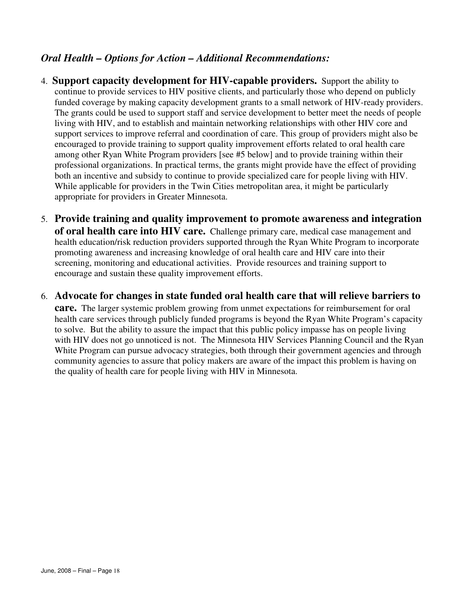## *Oral Health – Options for Action – Additional Recommendations:*

- 4. **Support capacity development for HIV-capable providers.** Support the ability to continue to provide services to HIV positive clients, and particularly those who depend on publicly funded coverage by making capacity development grants to a small network of HIV-ready providers. The grants could be used to support staff and service development to better meet the needs of people living with HIV, and to establish and maintain networking relationships with other HIV core and support services to improve referral and coordination of care. This group of providers might also be encouraged to provide training to support quality improvement efforts related to oral health care among other Ryan White Program providers [see #5 below] and to provide training within their professional organizations. In practical terms, the grants might provide have the effect of providing both an incentive and subsidy to continue to provide specialized care for people living with HIV. While applicable for providers in the Twin Cities metropolitan area, it might be particularly appropriate for providers in Greater Minnesota.
- 5. **Provide training and quality improvement to promote awareness and integration of oral health care into HIV care.** Challenge primary care, medical case management and health education/risk reduction providers supported through the Ryan White Program to incorporate promoting awareness and increasing knowledge of oral health care and HIV care into their screening, monitoring and educational activities. Provide resources and training support to encourage and sustain these quality improvement efforts.
- 6. **Advocate for changes in state funded oral health care that will relieve barriers to**

**care.** The larger systemic problem growing from unmet expectations for reimbursement for oral health care services through publicly funded programs is beyond the Ryan White Program's capacity to solve. But the ability to assure the impact that this public policy impasse has on people living with HIV does not go unnoticed is not. The Minnesota HIV Services Planning Council and the Ryan White Program can pursue advocacy strategies, both through their government agencies and through community agencies to assure that policy makers are aware of the impact this problem is having on the quality of health care for people living with HIV in Minnesota.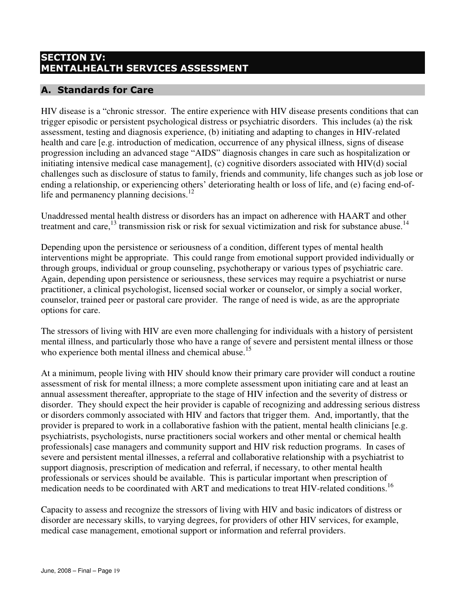## SECTION IV: MENTALHEALTH SERVICES ASSESSMENT

## A. Standards for Care

HIV disease is a "chronic stressor. The entire experience with HIV disease presents conditions that can trigger episodic or persistent psychological distress or psychiatric disorders. This includes (a) the risk assessment, testing and diagnosis experience, (b) initiating and adapting to changes in HIV-related health and care [e.g. introduction of medication, occurrence of any physical illness, signs of disease progression including an advanced stage "AIDS" diagnosis changes in care such as hospitalization or initiating intensive medical case management], (c) cognitive disorders associated with HIV(d) social challenges such as disclosure of status to family, friends and community, life changes such as job lose or ending a relationship, or experiencing others' deteriorating health or loss of life, and (e) facing end-oflife and permanency planning decisions.<sup>12</sup>

Unaddressed mental health distress or disorders has an impact on adherence with HAART and other treatment and care,  $^{13}$  transmission risk or risk for sexual victimization and risk for substance abuse.<sup>14</sup>

Depending upon the persistence or seriousness of a condition, different types of mental health interventions might be appropriate. This could range from emotional support provided individually or through groups, individual or group counseling, psychotherapy or various types of psychiatric care. Again, depending upon persistence or seriousness, these services may require a psychiatrist or nurse practitioner, a clinical psychologist, licensed social worker or counselor, or simply a social worker, counselor, trained peer or pastoral care provider. The range of need is wide, as are the appropriate options for care.

The stressors of living with HIV are even more challenging for individuals with a history of persistent mental illness, and particularly those who have a range of severe and persistent mental illness or those who experience both mental illness and chemical abuse.<sup>15</sup>

At a minimum, people living with HIV should know their primary care provider will conduct a routine assessment of risk for mental illness; a more complete assessment upon initiating care and at least an annual assessment thereafter, appropriate to the stage of HIV infection and the severity of distress or disorder. They should expect the heir provider is capable of recognizing and addressing serious distress or disorders commonly associated with HIV and factors that trigger them. And, importantly, that the provider is prepared to work in a collaborative fashion with the patient, mental health clinicians [e.g. psychiatrists, psychologists, nurse practitioners social workers and other mental or chemical health professionals] case managers and community support and HIV risk reduction programs. In cases of severe and persistent mental illnesses, a referral and collaborative relationship with a psychiatrist to support diagnosis, prescription of medication and referral, if necessary, to other mental health professionals or services should be available. This is particular important when prescription of medication needs to be coordinated with ART and medications to treat HIV-related conditions.<sup>16</sup>

Capacity to assess and recognize the stressors of living with HIV and basic indicators of distress or disorder are necessary skills, to varying degrees, for providers of other HIV services, for example, medical case management, emotional support or information and referral providers.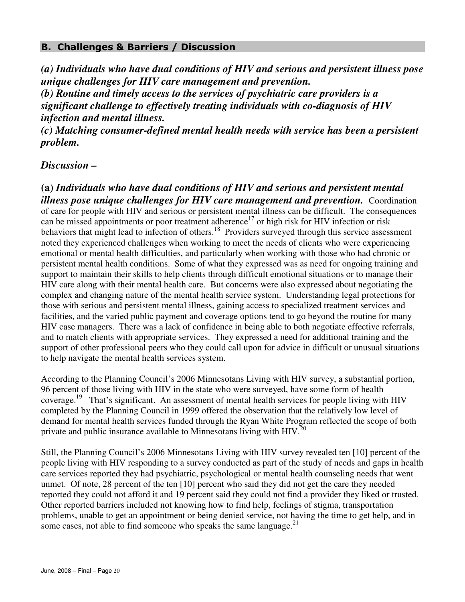#### B. Challenges & Barriers / Discussion

*(a) Individuals who have dual conditions of HIV and serious and persistent illness pose unique challenges for HIV care management and prevention. (b) Routine and timely access to the services of psychiatric care providers is a* 

*significant challenge to effectively treating individuals with co-diagnosis of HIV infection and mental illness.* 

*(c) Matching consumer-defined mental health needs with service has been a persistent problem.*

#### *Discussion –*

**(a)** *Individuals who have dual conditions of HIV and serious and persistent mental illness pose unique challenges for HIV care management and prevention.* Coordination of care for people with HIV and serious or persistent mental illness can be difficult. The consequences can be missed appointments or poor treatment adherence<sup>17</sup> or high risk for HIV infection or risk behaviors that might lead to infection of others.<sup>18</sup> Providers surveyed through this service assessment noted they experienced challenges when working to meet the needs of clients who were experiencing emotional or mental health difficulties, and particularly when working with those who had chronic or persistent mental health conditions. Some of what they expressed was as need for ongoing training and support to maintain their skills to help clients through difficult emotional situations or to manage their HIV care along with their mental health care. But concerns were also expressed about negotiating the complex and changing nature of the mental health service system. Understanding legal protections for those with serious and persistent mental illness, gaining access to specialized treatment services and facilities, and the varied public payment and coverage options tend to go beyond the routine for many HIV case managers. There was a lack of confidence in being able to both negotiate effective referrals, and to match clients with appropriate services. They expressed a need for additional training and the support of other professional peers who they could call upon for advice in difficult or unusual situations to help navigate the mental health services system.

According to the Planning Council's 2006 Minnesotans Living with HIV survey, a substantial portion, 96 percent of those living with HIV in the state who were surveyed, have some form of health coverage.<sup>19</sup> That's significant. An assessment of mental health services for people living with HIV completed by the Planning Council in 1999 offered the observation that the relatively low level of demand for mental health services funded through the Ryan White Program reflected the scope of both private and public insurance available to Minnesotans living with  $HIV^{20}$ 

Still, the Planning Council's 2006 Minnesotans Living with HIV survey revealed ten [10] percent of the people living with HIV responding to a survey conducted as part of the study of needs and gaps in health care services reported they had psychiatric, psychological or mental health counseling needs that went unmet. Of note, 28 percent of the ten [10] percent who said they did not get the care they needed reported they could not afford it and 19 percent said they could not find a provider they liked or trusted. Other reported barriers included not knowing how to find help, feelings of stigma, transportation problems, unable to get an appointment or being denied service, not having the time to get help, and in some cases, not able to find someone who speaks the same language. $^{21}$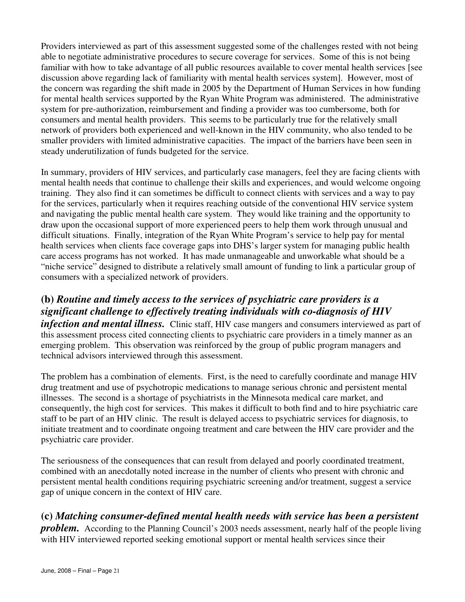Providers interviewed as part of this assessment suggested some of the challenges rested with not being able to negotiate administrative procedures to secure coverage for services. Some of this is not being familiar with how to take advantage of all public resources available to cover mental health services [see discussion above regarding lack of familiarity with mental health services system]. However, most of the concern was regarding the shift made in 2005 by the Department of Human Services in how funding for mental health services supported by the Ryan White Program was administered. The administrative system for pre-authorization, reimbursement and finding a provider was too cumbersome, both for consumers and mental health providers. This seems to be particularly true for the relatively small network of providers both experienced and well-known in the HIV community, who also tended to be smaller providers with limited administrative capacities. The impact of the barriers have been seen in steady underutilization of funds budgeted for the service.

In summary, providers of HIV services, and particularly case managers, feel they are facing clients with mental health needs that continue to challenge their skills and experiences, and would welcome ongoing training. They also find it can sometimes be difficult to connect clients with services and a way to pay for the services, particularly when it requires reaching outside of the conventional HIV service system and navigating the public mental health care system. They would like training and the opportunity to draw upon the occasional support of more experienced peers to help them work through unusual and difficult situations. Finally, integration of the Ryan White Program's service to help pay for mental health services when clients face coverage gaps into DHS's larger system for managing public health care access programs has not worked. It has made unmanageable and unworkable what should be a "niche service" designed to distribute a relatively small amount of funding to link a particular group of consumers with a specialized network of providers.

# **(b)** *Routine and timely access to the services of psychiatric care providers is a significant challenge to effectively treating individuals with co-diagnosis of HIV*

*infection and mental illness.* Clinic staff, HIV case mangers and consumers interviewed as part of this assessment process cited connecting clients to psychiatric care providers in a timely manner as an emerging problem. This observation was reinforced by the group of public program managers and technical advisors interviewed through this assessment.

The problem has a combination of elements. First, is the need to carefully coordinate and manage HIV drug treatment and use of psychotropic medications to manage serious chronic and persistent mental illnesses. The second is a shortage of psychiatrists in the Minnesota medical care market, and consequently, the high cost for services. This makes it difficult to both find and to hire psychiatric care staff to be part of an HIV clinic. The result is delayed access to psychiatric services for diagnosis, to initiate treatment and to coordinate ongoing treatment and care between the HIV care provider and the psychiatric care provider.

The seriousness of the consequences that can result from delayed and poorly coordinated treatment, combined with an anecdotally noted increase in the number of clients who present with chronic and persistent mental health conditions requiring psychiatric screening and/or treatment, suggest a service gap of unique concern in the context of HIV care.

# **(c)** *Matching consumer-defined mental health needs with service has been a persistent*

*problem.* According to the Planning Council's 2003 needs assessment, nearly half of the people living with HIV interviewed reported seeking emotional support or mental health services since their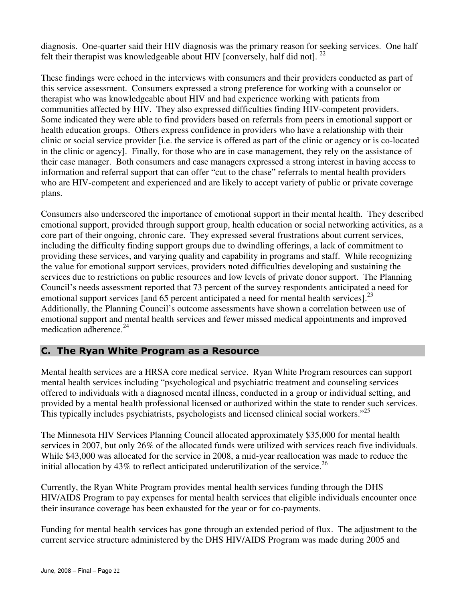diagnosis. One-quarter said their HIV diagnosis was the primary reason for seeking services. One half felt their therapist was knowledgeable about HIV [conversely, half did not].  $^{22}$ 

These findings were echoed in the interviews with consumers and their providers conducted as part of this service assessment. Consumers expressed a strong preference for working with a counselor or therapist who was knowledgeable about HIV and had experience working with patients from communities affected by HIV. They also expressed difficulties finding HIV-competent providers. Some indicated they were able to find providers based on referrals from peers in emotional support or health education groups. Others express confidence in providers who have a relationship with their clinic or social service provider [i.e. the service is offered as part of the clinic or agency or is co-located in the clinic or agency]. Finally, for those who are in case management, they rely on the assistance of their case manager. Both consumers and case managers expressed a strong interest in having access to information and referral support that can offer "cut to the chase" referrals to mental health providers who are HIV-competent and experienced and are likely to accept variety of public or private coverage plans.

Consumers also underscored the importance of emotional support in their mental health. They described emotional support, provided through support group, health education or social networking activities, as a core part of their ongoing, chronic care. They expressed several frustrations about current services, including the difficulty finding support groups due to dwindling offerings, a lack of commitment to providing these services, and varying quality and capability in programs and staff. While recognizing the value for emotional support services, providers noted difficulties developing and sustaining the services due to restrictions on public resources and low levels of private donor support. The Planning Council's needs assessment reported that 73 percent of the survey respondents anticipated a need for emotional support services [and 65 percent anticipated a need for mental health services].<sup>23</sup> Additionally, the Planning Council's outcome assessments have shown a correlation between use of emotional support and mental health services and fewer missed medical appointments and improved medication adherence.<sup>24</sup>

#### C. The Ryan White Program as a Resource

Mental health services are a HRSA core medical service. Ryan White Program resources can support mental health services including "psychological and psychiatric treatment and counseling services offered to individuals with a diagnosed mental illness, conducted in a group or individual setting, and provided by a mental health professional licensed or authorized within the state to render such services. This typically includes psychiatrists, psychologists and licensed clinical social workers."<sup>25</sup>

The Minnesota HIV Services Planning Council allocated approximately \$35,000 for mental health services in 2007, but only 26% of the allocated funds were utilized with services reach five individuals. While \$43,000 was allocated for the service in 2008, a mid-year reallocation was made to reduce the initial allocation by  $43\%$  to reflect anticipated underutilization of the service.<sup>26</sup>

Currently, the Ryan White Program provides mental health services funding through the DHS HIV/AIDS Program to pay expenses for mental health services that eligible individuals encounter once their insurance coverage has been exhausted for the year or for co-payments.

Funding for mental health services has gone through an extended period of flux. The adjustment to the current service structure administered by the DHS HIV/AIDS Program was made during 2005 and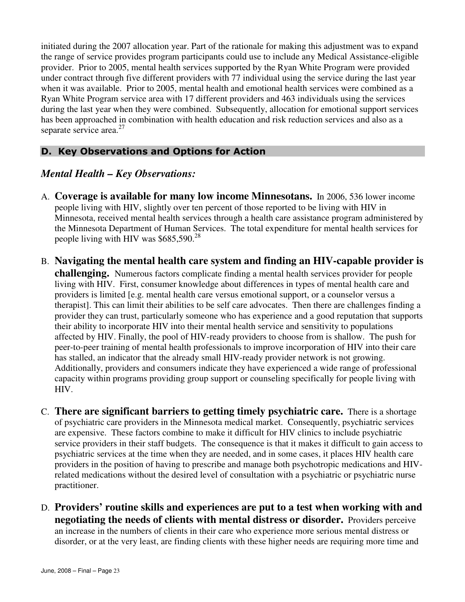initiated during the 2007 allocation year. Part of the rationale for making this adjustment was to expand the range of service provides program participants could use to include any Medical Assistance-eligible provider. Prior to 2005, mental health services supported by the Ryan White Program were provided under contract through five different providers with 77 individual using the service during the last year when it was available. Prior to 2005, mental health and emotional health services were combined as a Ryan White Program service area with 17 different providers and 463 individuals using the services during the last year when they were combined. Subsequently, allocation for emotional support services has been approached in combination with health education and risk reduction services and also as a separate service area. $27$ 

## D. Key Observations and Options for Action

## *Mental Health – Key Observations:*

- A. **Coverage is available for many low income Minnesotans.** In 2006, 536 lower income people living with HIV, slightly over ten percent of those reported to be living with HIV in Minnesota, received mental health services through a health care assistance program administered by the Minnesota Department of Human Services. The total expenditure for mental health services for people living with HIV was \$685,590.<sup>28</sup>
- B. **Navigating the mental health care system and finding an HIV-capable provider is challenging.** Numerous factors complicate finding a mental health services provider for people living with HIV. First, consumer knowledge about differences in types of mental health care and providers is limited [e.g. mental health care versus emotional support, or a counselor versus a therapist]. This can limit their abilities to be self care advocates. Then there are challenges finding a provider they can trust, particularly someone who has experience and a good reputation that supports their ability to incorporate HIV into their mental health service and sensitivity to populations affected by HIV. Finally, the pool of HIV-ready providers to choose from is shallow. The push for peer-to-peer training of mental health professionals to improve incorporation of HIV into their care has stalled, an indicator that the already small HIV-ready provider network is not growing. Additionally, providers and consumers indicate they have experienced a wide range of professional capacity within programs providing group support or counseling specifically for people living with HIV.
- C. **There are significant barriers to getting timely psychiatric care.** There is a shortage of psychiatric care providers in the Minnesota medical market. Consequently, psychiatric services are expensive. These factors combine to make it difficult for HIV clinics to include psychiatric service providers in their staff budgets. The consequence is that it makes it difficult to gain access to psychiatric services at the time when they are needed, and in some cases, it places HIV health care providers in the position of having to prescribe and manage both psychotropic medications and HIVrelated medications without the desired level of consultation with a psychiatric or psychiatric nurse practitioner.
- D. **Providers' routine skills and experiences are put to a test when working with and negotiating the needs of clients with mental distress or disorder.** Providers perceive an increase in the numbers of clients in their care who experience more serious mental distress or disorder, or at the very least, are finding clients with these higher needs are requiring more time and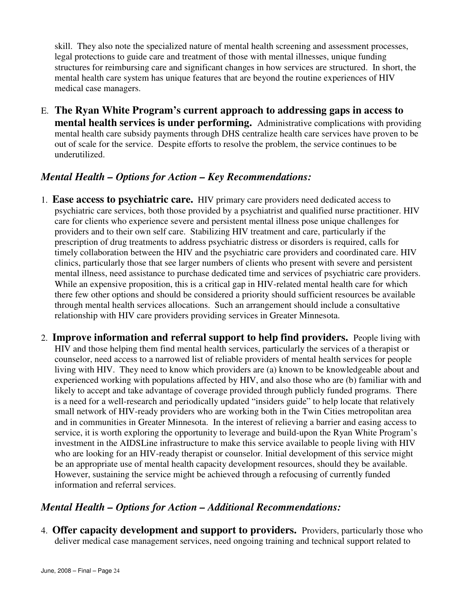skill. They also note the specialized nature of mental health screening and assessment processes, legal protections to guide care and treatment of those with mental illnesses, unique funding structures for reimbursing care and significant changes in how services are structured. In short, the mental health care system has unique features that are beyond the routine experiences of HIV medical case managers.

E. **The Ryan White Program's current approach to addressing gaps in access to mental health services is under performing.** Administrative complications with providing mental health care subsidy payments through DHS centralize health care services have proven to be out of scale for the service. Despite efforts to resolve the problem, the service continues to be underutilized.

## *Mental Health – Options for Action – Key Recommendations:*

- 1. **Ease access to psychiatric care.** HIV primary care providers need dedicated access to psychiatric care services, both those provided by a psychiatrist and qualified nurse practitioner. HIV care for clients who experience severe and persistent mental illness pose unique challenges for providers and to their own self care. Stabilizing HIV treatment and care, particularly if the prescription of drug treatments to address psychiatric distress or disorders is required, calls for timely collaboration between the HIV and the psychiatric care providers and coordinated care. HIV clinics, particularly those that see larger numbers of clients who present with severe and persistent mental illness, need assistance to purchase dedicated time and services of psychiatric care providers. While an expensive proposition, this is a critical gap in HIV-related mental health care for which there few other options and should be considered a priority should sufficient resources be available through mental health services allocations. Such an arrangement should include a consultative relationship with HIV care providers providing services in Greater Minnesota.
- 2. **Improve information and referral support to help find providers.** People living with HIV and those helping them find mental health services, particularly the services of a therapist or counselor, need access to a narrowed list of reliable providers of mental health services for people living with HIV. They need to know which providers are (a) known to be knowledgeable about and experienced working with populations affected by HIV, and also those who are (b) familiar with and likely to accept and take advantage of coverage provided through publicly funded programs. There is a need for a well-research and periodically updated "insiders guide" to help locate that relatively small network of HIV-ready providers who are working both in the Twin Cities metropolitan area and in communities in Greater Minnesota. In the interest of relieving a barrier and easing access to service, it is worth exploring the opportunity to leverage and build-upon the Ryan White Program's investment in the AIDSLine infrastructure to make this service available to people living with HIV who are looking for an HIV-ready therapist or counselor. Initial development of this service might be an appropriate use of mental health capacity development resources, should they be available. However, sustaining the service might be achieved through a refocusing of currently funded information and referral services.

## *Mental Health – Options for Action – Additional Recommendations:*

4. **Offer capacity development and support to providers.** Providers, particularly those who deliver medical case management services, need ongoing training and technical support related to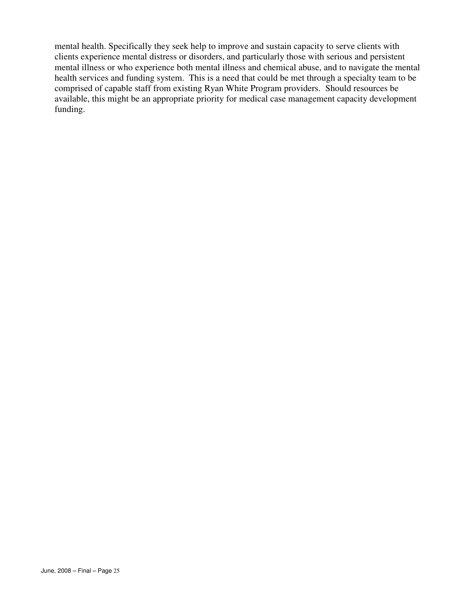mental health. Specifically they seek help to improve and sustain capacity to serve clients with clients experience mental distress or disorders, and particularly those with serious and persistent mental illness or who experience both mental illness and chemical abuse, and to navigate the mental health services and funding system. This is a need that could be met through a specialty team to be comprised of capable staff from existing Ryan White Program providers. Should resources be available, this might be an appropriate priority for medical case management capacity development funding.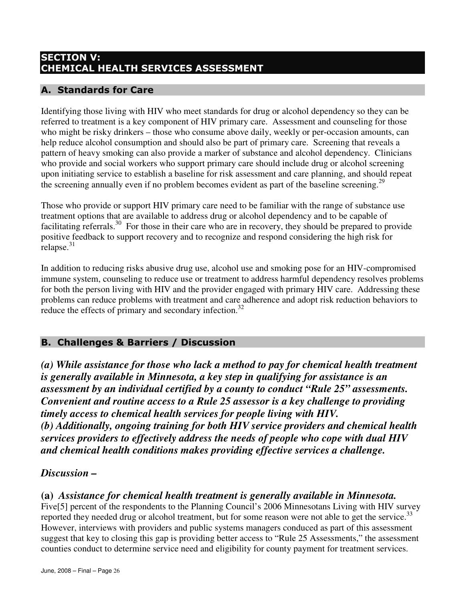## SECTION V: CHEMICAL HEALTH SERVICES ASSESSMENT

## A. Standards for Care

Identifying those living with HIV who meet standards for drug or alcohol dependency so they can be referred to treatment is a key component of HIV primary care. Assessment and counseling for those who might be risky drinkers – those who consume above daily, weekly or per-occasion amounts, can help reduce alcohol consumption and should also be part of primary care. Screening that reveals a pattern of heavy smoking can also provide a marker of substance and alcohol dependency. Clinicians who provide and social workers who support primary care should include drug or alcohol screening upon initiating service to establish a baseline for risk assessment and care planning, and should repeat the screening annually even if no problem becomes evident as part of the baseline screening.<sup>29</sup>

Those who provide or support HIV primary care need to be familiar with the range of substance use treatment options that are available to address drug or alcohol dependency and to be capable of facilitating referrals.<sup>30</sup> For those in their care who are in recovery, they should be prepared to provide positive feedback to support recovery and to recognize and respond considering the high risk for relapse. $31$ 

In addition to reducing risks abusive drug use, alcohol use and smoking pose for an HIV-compromised immune system, counseling to reduce use or treatment to address harmful dependency resolves problems for both the person living with HIV and the provider engaged with primary HIV care. Addressing these problems can reduce problems with treatment and care adherence and adopt risk reduction behaviors to reduce the effects of primary and secondary infection.<sup>32</sup>

## B. Challenges & Barriers / Discussion

*(a) While assistance for those who lack a method to pay for chemical health treatment is generally available in Minnesota, a key step in qualifying for assistance is an assessment by an individual certified by a county to conduct "Rule 25" assessments. Convenient and routine access to a Rule 25 assessor is a key challenge to providing timely access to chemical health services for people living with HIV. (b) Additionally, ongoing training for both HIV service providers and chemical health services providers to effectively address the needs of people who cope with dual HIV and chemical health conditions makes providing effective services a challenge.* 

## *Discussion –*

## **(a)** *Assistance for chemical health treatment is generally available in Minnesota.*

Five[5] percent of the respondents to the Planning Council's 2006 Minnesotans Living with HIV survey reported they needed drug or alcohol treatment, but for some reason were not able to get the service.<sup>33</sup> However, interviews with providers and public systems managers conduced as part of this assessment suggest that key to closing this gap is providing better access to "Rule 25 Assessments," the assessment counties conduct to determine service need and eligibility for county payment for treatment services.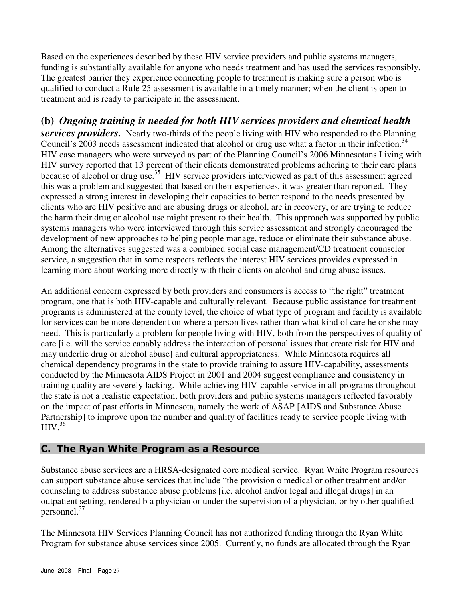Based on the experiences described by these HIV service providers and public systems managers, funding is substantially available for anyone who needs treatment and has used the services responsibly. The greatest barrier they experience connecting people to treatment is making sure a person who is qualified to conduct a Rule 25 assessment is available in a timely manner; when the client is open to treatment and is ready to participate in the assessment.

# **(b)** *Ongoing training is needed for both HIV services providers and chemical health*

**services providers.** Nearly two-thirds of the people living with HIV who responded to the Planning Council's 2003 needs assessment indicated that alcohol or drug use what a factor in their infection.<sup>34</sup> HIV case managers who were surveyed as part of the Planning Council's 2006 Minnesotans Living with HIV survey reported that 13 percent of their clients demonstrated problems adhering to their care plans because of alcohol or drug use.<sup>35</sup> HIV service providers interviewed as part of this assessment agreed this was a problem and suggested that based on their experiences, it was greater than reported. They expressed a strong interest in developing their capacities to better respond to the needs presented by clients who are HIV positive and are abusing drugs or alcohol, are in recovery, or are trying to reduce the harm their drug or alcohol use might present to their health. This approach was supported by public systems managers who were interviewed through this service assessment and strongly encouraged the development of new approaches to helping people manage, reduce or eliminate their substance abuse. Among the alternatives suggested was a combined social case management/CD treatment counselor service, a suggestion that in some respects reflects the interest HIV services provides expressed in learning more about working more directly with their clients on alcohol and drug abuse issues.

An additional concern expressed by both providers and consumers is access to "the right" treatment program, one that is both HIV-capable and culturally relevant. Because public assistance for treatment programs is administered at the county level, the choice of what type of program and facility is available for services can be more dependent on where a person lives rather than what kind of care he or she may need. This is particularly a problem for people living with HIV, both from the perspectives of quality of care [i.e. will the service capably address the interaction of personal issues that create risk for HIV and may underlie drug or alcohol abuse] and cultural appropriateness. While Minnesota requires all chemical dependency programs in the state to provide training to assure HIV-capability, assessments conducted by the Minnesota AIDS Project in 2001 and 2004 suggest compliance and consistency in training quality are severely lacking. While achieving HIV-capable service in all programs throughout the state is not a realistic expectation, both providers and public systems managers reflected favorably on the impact of past efforts in Minnesota, namely the work of ASAP [AIDS and Substance Abuse Partnership] to improve upon the number and quality of facilities ready to service people living with  $HIV.<sup>36</sup>$ 

#### C. The Ryan White Program as a Resource

Substance abuse services are a HRSA-designated core medical service. Ryan White Program resources can support substance abuse services that include "the provision o medical or other treatment and/or counseling to address substance abuse problems [i.e. alcohol and/or legal and illegal drugs] in an outpatient setting, rendered b a physician or under the supervision of a physician, or by other qualified personnel.<sup>37</sup>

The Minnesota HIV Services Planning Council has not authorized funding through the Ryan White Program for substance abuse services since 2005. Currently, no funds are allocated through the Ryan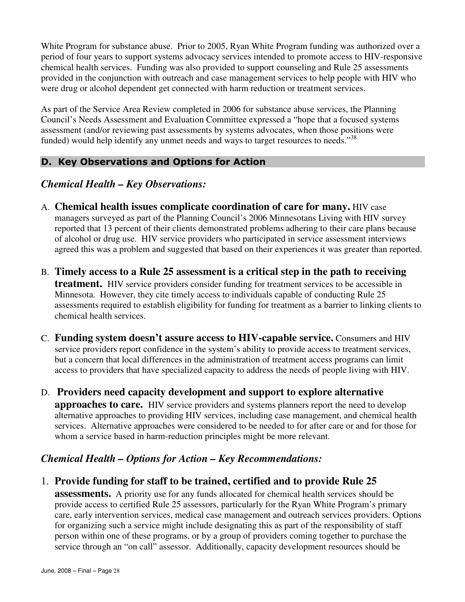White Program for substance abuse. Prior to 2005, Ryan White Program funding was authorized over a period of four years to support systems advocacy services intended to promote access to HIV-responsive chemical health services. Funding was also provided to support counseling and Rule 25 assessments provided in the conjunction with outreach and case management services to help people with HIV who were drug or alcohol dependent get connected with harm reduction or treatment services.

As part of the Service Area Review completed in 2006 for substance abuse services, the Planning Council's Needs Assessment and Evaluation Committee expressed a "hope that a focused systems assessment (and/or reviewing past assessments by systems advocates, when those positions were funded) would help identify any unmet needs and ways to target resources to needs."<sup>38</sup>

## D. Key Observations and Options for Action

## *Chemical Health – Key Observations:*

- A. **Chemical health issues complicate coordination of care for many.** HIV case managers surveyed as part of the Planning Council's 2006 Minnesotans Living with HIV survey reported that 13 percent of their clients demonstrated problems adhering to their care plans because of alcohol or drug use. HIV service providers who participated in service assessment interviews agreed this was a problem and suggested that based on their experiences it was greater than reported.
- B. **Timely access to a Rule 25 assessment is a critical step in the path to receiving treatment.** HIV service providers consider funding for treatment services to be accessible in Minnesota. However, they cite timely access to individuals capable of conducting Rule 25 assessments required to establish eligibility for funding for treatment as a barrier to linking clients to chemical health services.
- C. **Funding system doesn't assure access to HIV-capable service.** Consumers and HIV service providers report confidence in the system's ability to provide access to treatment services, but a concern that local differences in the administration of treatment access programs can limit access to providers that have specialized capacity to address the needs of people living with HIV.
- D. **Providers need capacity development and support to explore alternative approaches to care.** HIV service providers and systems planners report the need to develop alternative approaches to providing HIV services, including case management, and chemical health services. Alternative approaches were considered to be needed to for after care or and for those for whom a service based in harm-reduction principles might be more relevant.

## *Chemical Health – Options for Action – Key Recommendations:*

## 1. **Provide funding for staff to be trained, certified and to provide Rule 25**

**assessments.** A priority use for any funds allocated for chemical health services should be provide access to certified Rule 25 assessors, particularly for the Ryan White Program's primary care, early intervention services, medical case management and outreach services providers. Options for organizing such a service might include designating this as part of the responsibility of staff person within one of these programs, or by a group of providers coming together to purchase the service through an "on call" assessor. Additionally, capacity development resources should be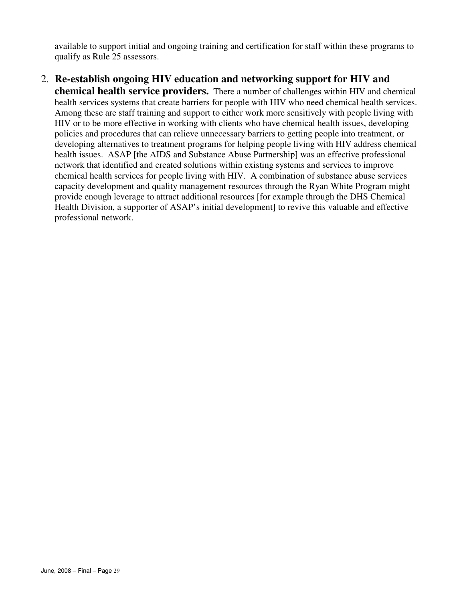available to support initial and ongoing training and certification for staff within these programs to qualify as Rule 25 assessors.

#### 2. **Re-establish ongoing HIV education and networking support for HIV and chemical health service providers.** There a number of challenges within HIV and chemical health services systems that create barriers for people with HIV who need chemical health services. Among these are staff training and support to either work more sensitively with people living with HIV or to be more effective in working with clients who have chemical health issues, developing policies and procedures that can relieve unnecessary barriers to getting people into treatment, or developing alternatives to treatment programs for helping people living with HIV address chemical health issues. ASAP [the AIDS and Substance Abuse Partnership] was an effective professional network that identified and created solutions within existing systems and services to improve chemical health services for people living with HIV. A combination of substance abuse services capacity development and quality management resources through the Ryan White Program might provide enough leverage to attract additional resources [for example through the DHS Chemical Health Division, a supporter of ASAP's initial development] to revive this valuable and effective professional network.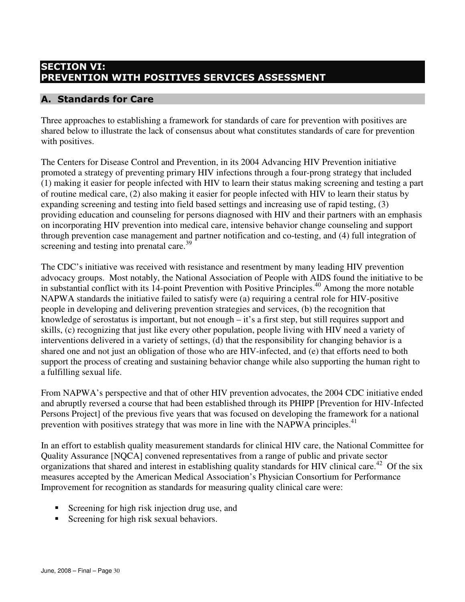## SECTION VI: PREVENTION WITH POSITIVES SERVICES ASSESSMENT

## A. Standards for Care

Three approaches to establishing a framework for standards of care for prevention with positives are shared below to illustrate the lack of consensus about what constitutes standards of care for prevention with positives.

The Centers for Disease Control and Prevention, in its 2004 Advancing HIV Prevention initiative promoted a strategy of preventing primary HIV infections through a four-prong strategy that included (1) making it easier for people infected with HIV to learn their status making screening and testing a part of routine medical care, (2) also making it easier for people infected with HIV to learn their status by expanding screening and testing into field based settings and increasing use of rapid testing, (3) providing education and counseling for persons diagnosed with HIV and their partners with an emphasis on incorporating HIV prevention into medical care, intensive behavior change counseling and support through prevention case management and partner notification and co-testing, and (4) full integration of screening and testing into prenatal care.<sup>39</sup>

The CDC's initiative was received with resistance and resentment by many leading HIV prevention advocacy groups. Most notably, the National Association of People with AIDS found the initiative to be in substantial conflict with its 14-point Prevention with Positive Principles.<sup>40</sup> Among the more notable NAPWA standards the initiative failed to satisfy were (a) requiring a central role for HIV-positive people in developing and delivering prevention strategies and services, (b) the recognition that knowledge of serostatus is important, but not enough – it's a first step, but still requires support and skills, (c) recognizing that just like every other population, people living with HIV need a variety of interventions delivered in a variety of settings, (d) that the responsibility for changing behavior is a shared one and not just an obligation of those who are HIV-infected, and (e) that efforts need to both support the process of creating and sustaining behavior change while also supporting the human right to a fulfilling sexual life.

From NAPWA's perspective and that of other HIV prevention advocates, the 2004 CDC initiative ended and abruptly reversed a course that had been established through its PHIPP [Prevention for HIV-Infected Persons Project] of the previous five years that was focused on developing the framework for a national prevention with positives strategy that was more in line with the NAPWA principles.<sup>41</sup>

In an effort to establish quality measurement standards for clinical HIV care, the National Committee for Quality Assurance [NQCA] convened representatives from a range of public and private sector organizations that shared and interest in establishing quality standards for HIV clinical care.<sup>42</sup> Of the six measures accepted by the American Medical Association's Physician Consortium for Performance Improvement for recognition as standards for measuring quality clinical care were:

- Screening for high risk injection drug use, and
- Screening for high risk sexual behaviors.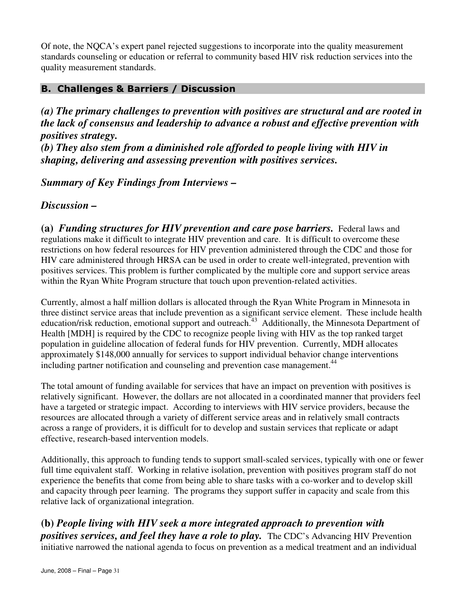Of note, the NQCA's expert panel rejected suggestions to incorporate into the quality measurement standards counseling or education or referral to community based HIV risk reduction services into the quality measurement standards.

## B. Challenges & Barriers / Discussion

*(a) The primary challenges to prevention with positives are structural and are rooted in the lack of consensus and leadership to advance a robust and effective prevention with positives strategy. (b) They also stem from a diminished role afforded to people living with HIV in shaping, delivering and assessing prevention with positives services.* 

*Summary of Key Findings from Interviews –*

*Discussion –* 

**(a)** *Funding structures for HIV prevention and care pose barriers.* Federal laws and regulations make it difficult to integrate HIV prevention and care. It is difficult to overcome these restrictions on how federal resources for HIV prevention administered through the CDC and those for HIV care administered through HRSA can be used in order to create well-integrated, prevention with positives services. This problem is further complicated by the multiple core and support service areas within the Ryan White Program structure that touch upon prevention-related activities.

Currently, almost a half million dollars is allocated through the Ryan White Program in Minnesota in three distinct service areas that include prevention as a significant service element. These include health education/risk reduction, emotional support and outreach.<sup>43</sup> Additionally, the Minnesota Department of Health [MDH] is required by the CDC to recognize people living with HIV as the top ranked target population in guideline allocation of federal funds for HIV prevention. Currently, MDH allocates approximately \$148,000 annually for services to support individual behavior change interventions including partner notification and counseling and prevention case management.<sup>44</sup>

The total amount of funding available for services that have an impact on prevention with positives is relatively significant. However, the dollars are not allocated in a coordinated manner that providers feel have a targeted or strategic impact. According to interviews with HIV service providers, because the resources are allocated through a variety of different service areas and in relatively small contracts across a range of providers, it is difficult for to develop and sustain services that replicate or adapt effective, research-based intervention models.

Additionally, this approach to funding tends to support small-scaled services, typically with one or fewer full time equivalent staff. Working in relative isolation, prevention with positives program staff do not experience the benefits that come from being able to share tasks with a co-worker and to develop skill and capacity through peer learning. The programs they support suffer in capacity and scale from this relative lack of organizational integration.

**(b)** *People living with HIV seek a more integrated approach to prevention with positives services, and feel they have a role to play.* The CDC's Advancing HIV Prevention initiative narrowed the national agenda to focus on prevention as a medical treatment and an individual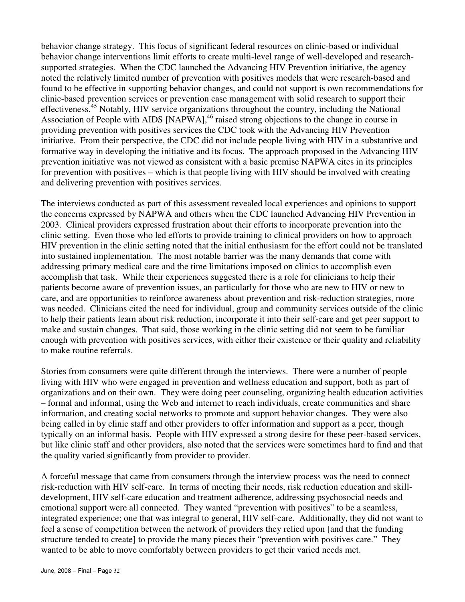behavior change strategy. This focus of significant federal resources on clinic-based or individual behavior change interventions limit efforts to create multi-level range of well-developed and researchsupported strategies. When the CDC launched the Advancing HIV Prevention initiative, the agency noted the relatively limited number of prevention with positives models that were research-based and found to be effective in supporting behavior changes, and could not support is own recommendations for clinic-based prevention services or prevention case management with solid research to support their effectiveness.<sup>45</sup> Notably, HIV service organizations throughout the country, including the National Association of People with AIDS [NAPWA], $46$  raised strong objections to the change in course in providing prevention with positives services the CDC took with the Advancing HIV Prevention initiative. From their perspective, the CDC did not include people living with HIV in a substantive and formative way in developing the initiative and its focus. The approach proposed in the Advancing HIV prevention initiative was not viewed as consistent with a basic premise NAPWA cites in its principles for prevention with positives – which is that people living with HIV should be involved with creating and delivering prevention with positives services.

The interviews conducted as part of this assessment revealed local experiences and opinions to support the concerns expressed by NAPWA and others when the CDC launched Advancing HIV Prevention in 2003. Clinical providers expressed frustration about their efforts to incorporate prevention into the clinic setting. Even those who led efforts to provide training to clinical providers on how to approach HIV prevention in the clinic setting noted that the initial enthusiasm for the effort could not be translated into sustained implementation. The most notable barrier was the many demands that come with addressing primary medical care and the time limitations imposed on clinics to accomplish even accomplish that task. While their experiences suggested there is a role for clinicians to help their patients become aware of prevention issues, an particularly for those who are new to HIV or new to care, and are opportunities to reinforce awareness about prevention and risk-reduction strategies, more was needed. Clinicians cited the need for individual, group and community services outside of the clinic to help their patients learn about risk reduction, incorporate it into their self-care and get peer support to make and sustain changes. That said, those working in the clinic setting did not seem to be familiar enough with prevention with positives services, with either their existence or their quality and reliability to make routine referrals.

Stories from consumers were quite different through the interviews. There were a number of people living with HIV who were engaged in prevention and wellness education and support, both as part of organizations and on their own. They were doing peer counseling, organizing health education activities – formal and informal, using the Web and internet to reach individuals, create communities and share information, and creating social networks to promote and support behavior changes. They were also being called in by clinic staff and other providers to offer information and support as a peer, though typically on an informal basis. People with HIV expressed a strong desire for these peer-based services, but like clinic staff and other providers, also noted that the services were sometimes hard to find and that the quality varied significantly from provider to provider.

A forceful message that came from consumers through the interview process was the need to connect risk-reduction with HIV self-care. In terms of meeting their needs, risk reduction education and skilldevelopment, HIV self-care education and treatment adherence, addressing psychosocial needs and emotional support were all connected. They wanted "prevention with positives" to be a seamless, integrated experience; one that was integral to general, HIV self-care. Additionally, they did not want to feel a sense of competition between the network of providers they relied upon [and that the funding structure tended to create] to provide the many pieces their "prevention with positives care." They wanted to be able to move comfortably between providers to get their varied needs met.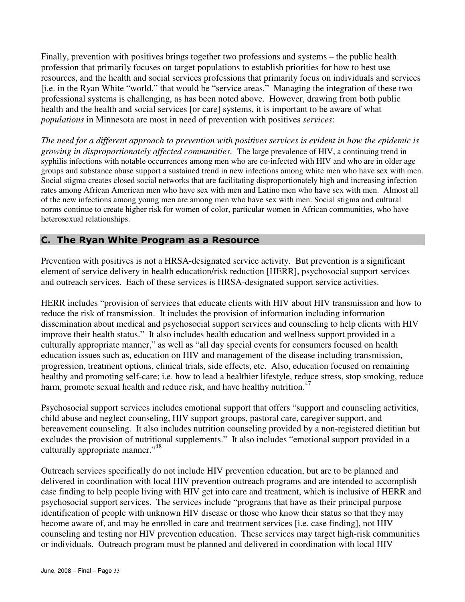Finally, prevention with positives brings together two professions and systems – the public health profession that primarily focuses on target populations to establish priorities for how to best use resources, and the health and social services professions that primarily focus on individuals and services [i.e. in the Ryan White "world," that would be "service areas." Managing the integration of these two professional systems is challenging, as has been noted above. However, drawing from both public health and the health and social services [or care] systems, it is important to be aware of what *populations* in Minnesota are most in need of prevention with positives *services*:

*The need for a different approach to prevention with positives services is evident in how the epidemic is growing in disproportionately affected communities.* The large prevalence of HIV, a continuing trend in syphilis infections with notable occurrences among men who are co-infected with HIV and who are in older age groups and substance abuse support a sustained trend in new infections among white men who have sex with men. Social stigma creates closed social networks that are facilitating disproportionately high and increasing infection rates among African American men who have sex with men and Latino men who have sex with men. Almost all of the new infections among young men are among men who have sex with men. Social stigma and cultural norms continue to create higher risk for women of color, particular women in African communities, who have heterosexual relationships.

#### C. The Ryan White Program as a Resource

Prevention with positives is not a HRSA-designated service activity. But prevention is a significant element of service delivery in health education/risk reduction [HERR], psychosocial support services and outreach services. Each of these services is HRSA-designated support service activities.

HERR includes "provision of services that educate clients with HIV about HIV transmission and how to reduce the risk of transmission. It includes the provision of information including information dissemination about medical and psychosocial support services and counseling to help clients with HIV improve their health status." It also includes health education and wellness support provided in a culturally appropriate manner," as well as "all day special events for consumers focused on health education issues such as, education on HIV and management of the disease including transmission, progression, treatment options, clinical trials, side effects, etc. Also, education focused on remaining healthy and promoting self-care; i.e. how to lead a healthier lifestyle, reduce stress, stop smoking, reduce harm, promote sexual health and reduce risk, and have healthy nutrition.<sup>47</sup>

Psychosocial support services includes emotional support that offers "support and counseling activities, child abuse and neglect counseling, HIV support groups, pastoral care, caregiver support, and bereavement counseling. It also includes nutrition counseling provided by a non-registered dietitian but excludes the provision of nutritional supplements." It also includes "emotional support provided in a culturally appropriate manner."<sup>48</sup>

Outreach services specifically do not include HIV prevention education, but are to be planned and delivered in coordination with local HIV prevention outreach programs and are intended to accomplish case finding to help people living with HIV get into care and treatment, which is inclusive of HERR and psychosocial support services. The services include "programs that have as their principal purpose identification of people with unknown HIV disease or those who know their status so that they may become aware of, and may be enrolled in care and treatment services [i.e. case finding], not HIV counseling and testing nor HIV prevention education. These services may target high-risk communities or individuals. Outreach program must be planned and delivered in coordination with local HIV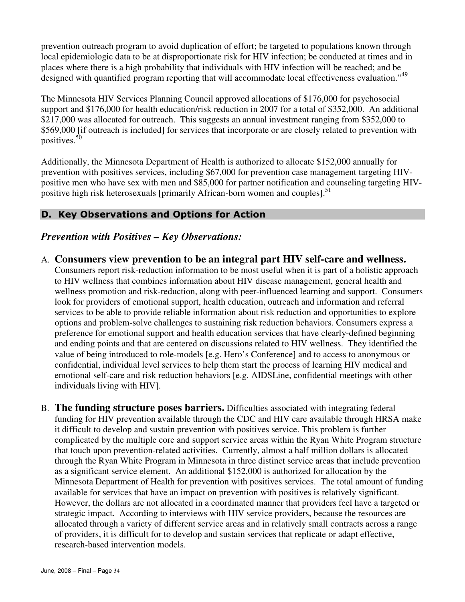prevention outreach program to avoid duplication of effort; be targeted to populations known through local epidemiologic data to be at disproportionate risk for HIV infection; be conducted at times and in places where there is a high probability that individuals with HIV infection will be reached; and be designed with quantified program reporting that will accommodate local effectiveness evaluation."<sup>49</sup>

The Minnesota HIV Services Planning Council approved allocations of \$176,000 for psychosocial support and \$176,000 for health education/risk reduction in 2007 for a total of \$352,000. An additional \$217,000 was allocated for outreach. This suggests an annual investment ranging from \$352,000 to \$569,000 [if outreach is included] for services that incorporate or are closely related to prevention with positives.<sup>50</sup>

Additionally, the Minnesota Department of Health is authorized to allocate \$152,000 annually for prevention with positives services, including \$67,000 for prevention case management targeting HIVpositive men who have sex with men and \$85,000 for partner notification and counseling targeting HIVpositive high risk heterosexuals [primarily African-born women and couples].<sup>51</sup>

## D. Key Observations and Options for Action

## *Prevention with Positives – Key Observations:*

A. **Consumers view prevention to be an integral part HIV self-care and wellness.** 

Consumers report risk-reduction information to be most useful when it is part of a holistic approach to HIV wellness that combines information about HIV disease management, general health and wellness promotion and risk-reduction, along with peer-influenced learning and support. Consumers look for providers of emotional support, health education, outreach and information and referral services to be able to provide reliable information about risk reduction and opportunities to explore options and problem-solve challenges to sustaining risk reduction behaviors. Consumers express a preference for emotional support and health education services that have clearly-defined beginning and ending points and that are centered on discussions related to HIV wellness. They identified the value of being introduced to role-models [e.g. Hero's Conference] and to access to anonymous or confidential, individual level services to help them start the process of learning HIV medical and emotional self-care and risk reduction behaviors [e.g. AIDSLine, confidential meetings with other individuals living with HIV].

B. **The funding structure poses barriers.** Difficulties associated with integrating federal funding for HIV prevention available through the CDC and HIV care available through HRSA make it difficult to develop and sustain prevention with positives service. This problem is further complicated by the multiple core and support service areas within the Ryan White Program structure that touch upon prevention-related activities. Currently, almost a half million dollars is allocated through the Ryan White Program in Minnesota in three distinct service areas that include prevention as a significant service element. An additional \$152,000 is authorized for allocation by the Minnesota Department of Health for prevention with positives services. The total amount of funding available for services that have an impact on prevention with positives is relatively significant. However, the dollars are not allocated in a coordinated manner that providers feel have a targeted or strategic impact. According to interviews with HIV service providers, because the resources are allocated through a variety of different service areas and in relatively small contracts across a range of providers, it is difficult for to develop and sustain services that replicate or adapt effective, research-based intervention models.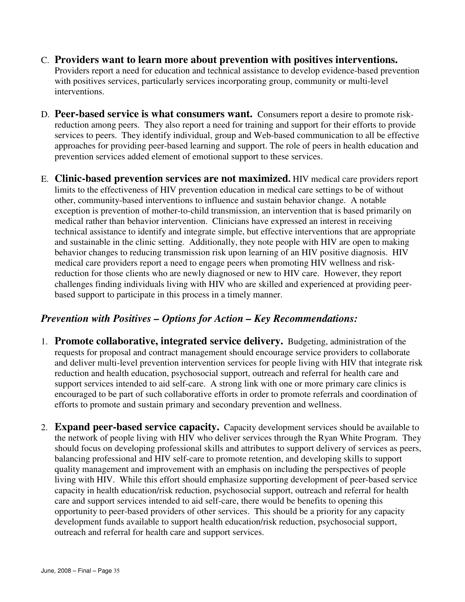- C. **Providers want to learn more about prevention with positives interventions.** Providers report a need for education and technical assistance to develop evidence-based prevention with positives services, particularly services incorporating group, community or multi-level interventions.
- D. **Peer-based service is what consumers want.** Consumers report a desire to promote riskreduction among peers. They also report a need for training and support for their efforts to provide services to peers. They identify individual, group and Web-based communication to all be effective approaches for providing peer-based learning and support. The role of peers in health education and prevention services added element of emotional support to these services.
- E. **Clinic-based prevention services are not maximized.** HIV medical care providers report limits to the effectiveness of HIV prevention education in medical care settings to be of without other, community-based interventions to influence and sustain behavior change. A notable exception is prevention of mother-to-child transmission, an intervention that is based primarily on medical rather than behavior intervention. Clinicians have expressed an interest in receiving technical assistance to identify and integrate simple, but effective interventions that are appropriate and sustainable in the clinic setting. Additionally, they note people with HIV are open to making behavior changes to reducing transmission risk upon learning of an HIV positive diagnosis. HIV medical care providers report a need to engage peers when promoting HIV wellness and riskreduction for those clients who are newly diagnosed or new to HIV care. However, they report challenges finding individuals living with HIV who are skilled and experienced at providing peerbased support to participate in this process in a timely manner.

#### *Prevention with Positives – Options for Action – Key Recommendations:*

- 1. **Promote collaborative, integrated service delivery.** Budgeting, administration of the requests for proposal and contract management should encourage service providers to collaborate and deliver multi-level prevention intervention services for people living with HIV that integrate risk reduction and health education, psychosocial support, outreach and referral for health care and support services intended to aid self-care. A strong link with one or more primary care clinics is encouraged to be part of such collaborative efforts in order to promote referrals and coordination of efforts to promote and sustain primary and secondary prevention and wellness.
- 2. **Expand peer-based service capacity.** Capacity development services should be available to the network of people living with HIV who deliver services through the Ryan White Program. They should focus on developing professional skills and attributes to support delivery of services as peers, balancing professional and HIV self-care to promote retention, and developing skills to support quality management and improvement with an emphasis on including the perspectives of people living with HIV. While this effort should emphasize supporting development of peer-based service capacity in health education/risk reduction, psychosocial support, outreach and referral for health care and support services intended to aid self-care, there would be benefits to opening this opportunity to peer-based providers of other services. This should be a priority for any capacity development funds available to support health education/risk reduction, psychosocial support, outreach and referral for health care and support services.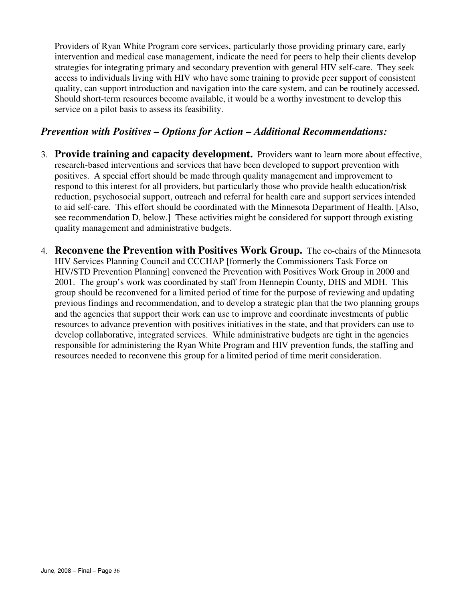Providers of Ryan White Program core services, particularly those providing primary care, early intervention and medical case management, indicate the need for peers to help their clients develop strategies for integrating primary and secondary prevention with general HIV self-care. They seek access to individuals living with HIV who have some training to provide peer support of consistent quality, can support introduction and navigation into the care system, and can be routinely accessed. Should short-term resources become available, it would be a worthy investment to develop this service on a pilot basis to assess its feasibility.

#### *Prevention with Positives – Options for Action – Additional Recommendations:*

- 3. **Provide training and capacity development.** Providers want to learn more about effective, research-based interventions and services that have been developed to support prevention with positives. A special effort should be made through quality management and improvement to respond to this interest for all providers, but particularly those who provide health education/risk reduction, psychosocial support, outreach and referral for health care and support services intended to aid self-care. This effort should be coordinated with the Minnesota Department of Health. [Also, see recommendation D, below.] These activities might be considered for support through existing quality management and administrative budgets.
- 4. **Reconvene the Prevention with Positives Work Group.** The co-chairs of the Minnesota HIV Services Planning Council and CCCHAP [formerly the Commissioners Task Force on HIV/STD Prevention Planning] convened the Prevention with Positives Work Group in 2000 and 2001. The group's work was coordinated by staff from Hennepin County, DHS and MDH. This group should be reconvened for a limited period of time for the purpose of reviewing and updating previous findings and recommendation, and to develop a strategic plan that the two planning groups and the agencies that support their work can use to improve and coordinate investments of public resources to advance prevention with positives initiatives in the state, and that providers can use to develop collaborative, integrated services. While administrative budgets are tight in the agencies responsible for administering the Ryan White Program and HIV prevention funds, the staffing and resources needed to reconvene this group for a limited period of time merit consideration.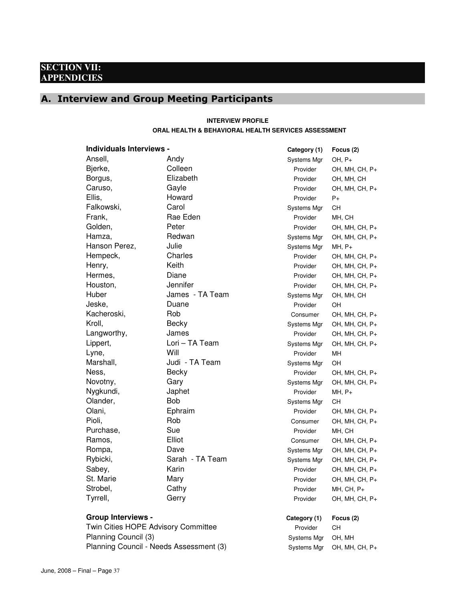#### **SECTION VII: APPENDICIES**

# A. Interview and Group Meeting Participants

#### **INTERVIEW PROFILE ORAL HEALTH & BEHAVIORAL HEALTH SERVICES ASSESSMENT**

| <b>Individuals Interviews -</b>         |                 | Category (1) | Focus (2)      |
|-----------------------------------------|-----------------|--------------|----------------|
| Ansell,                                 | Andy            | Systems Mgr  | $OH, P+$       |
| Bjerke,                                 | Colleen         | Provider     | OH, MH, CH, P+ |
| Borgus,                                 | Elizabeth       | Provider     | OH, MH, CH     |
| Caruso,                                 | Gayle           | Provider     | OH, MH, CH, P+ |
| Ellis,                                  | Howard          | Provider     | P+             |
| Falkowski,                              | Carol           | Systems Mgr  | <b>CH</b>      |
| Frank,                                  | Rae Eden        | Provider     | MH, CH         |
| Golden,                                 | Peter           | Provider     | OH, MH, CH, P+ |
| Hamza,                                  | Redwan          | Systems Mgr  | OH, MH, CH, P+ |
| Hanson Perez,                           | Julie           | Systems Mgr  | $MH, P+$       |
| Hempeck,                                | Charles         | Provider     | OH, MH, CH, P+ |
| Henry,                                  | Keith           | Provider     | OH, MH, CH, P+ |
| Hermes,                                 | Diane           | Provider     | OH, MH, CH, P+ |
| Houston,                                | Jennifer        | Provider     | OH, MH, CH, P+ |
| Huber                                   | James - TA Team | Systems Mgr  | OH, MH, CH     |
| Jeske,                                  | Duane           | Provider     | OH             |
| Kacheroski,                             | Rob             | Consumer     | OH, MH, CH, P+ |
| Kroll,                                  | Becky           | Systems Mgr  | OH, MH, CH, P+ |
| Langworthy,                             | James           | Provider     | OH, MH, CH, P+ |
| Lippert,                                | Lori - TA Team  | Systems Mgr  | OH, MH, CH, P+ |
| Lyne,                                   | Will            | Provider     | MH             |
| Marshall,                               | Judi - TA Team  | Systems Mgr  | OH             |
| Ness,                                   | Becky           | Provider     | OH, MH, CH, P+ |
| Novotny,                                | Gary            | Systems Mgr  | OH, MH, CH, P+ |
| Nygkundi,                               | Japhet          | Provider     | $MH, P+$       |
| Olander,                                | <b>Bob</b>      | Systems Mgr  | CН             |
| Olani,                                  | Ephraim         | Provider     | OH, MH, CH, P+ |
| Pioli,                                  | Rob             | Consumer     | OH, MH, CH, P+ |
| Purchase,                               | Sue             | Provider     | MH, CH         |
| Ramos,                                  | Elliot          | Consumer     | OH, MH, CH, P+ |
| Rompa,                                  | Dave            | Systems Mgr  | OH, MH, CH, P+ |
| Rybicki,                                | Sarah - TA Team | Systems Mgr  | OH, MH, CH, P+ |
| Sabey,                                  | Karin           | Provider     | OH, MH, CH, P+ |
| St. Marie                               | Mary            | Provider     | OH, MH, CH, P+ |
| Strobel,                                | Cathy           | Provider     | MH, CH, P+     |
| Tyrrell,                                | Gerry           | Provider     | OH, MH, CH, P+ |
| <b>Group Interviews -</b>               |                 | Category (1) | Focus (2)      |
| Twin Cities HOPE Advisory Committee     | Provider        | <b>CH</b>    |                |
| Planning Council (3)                    |                 | Systems Mgr  | OH, MH         |
| Planning Council - Needs Assessment (3) |                 | Systems Mgr  | OH, MH, CH, P+ |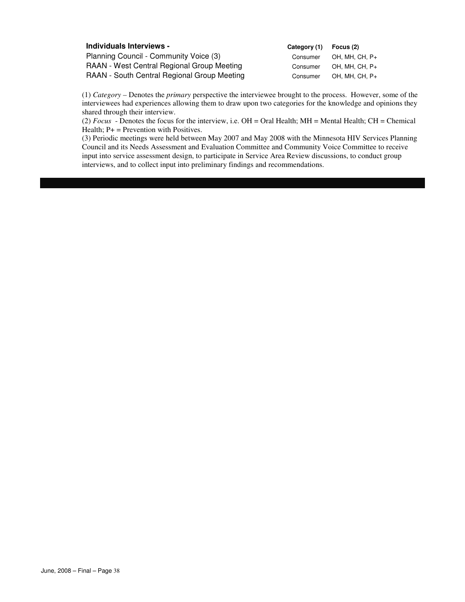| Individuals Interviews -                    | Category (1) | Focus (2)      |
|---------------------------------------------|--------------|----------------|
| Planning Council - Community Voice (3)      | Consumer     | OH. MH. CH. P+ |
| RAAN - West Central Regional Group Meeting  | Consumer     | OH. MH. CH. P+ |
| RAAN - South Central Regional Group Meeting | Consumer     | OH, MH, CH, P+ |

(1) *Category –* Denotes the *primary* perspective the interviewee brought to the process. However, some of the interviewees had experiences allowing them to draw upon two categories for the knowledge and opinions they shared through their interview.

(2) *Focus* - Denotes the focus for the interview, i.e. OH = Oral Health; MH = Mental Health; CH = Chemical Health;  $P+$  = Prevention with Positives.

(3) Periodic meetings were held between May 2007 and May 2008 with the Minnesota HIV Services Planning Council and its Needs Assessment and Evaluation Committee and Community Voice Committee to receive input into service assessment design, to participate in Service Area Review discussions, to conduct group interviews, and to collect input into preliminary findings and recommendations.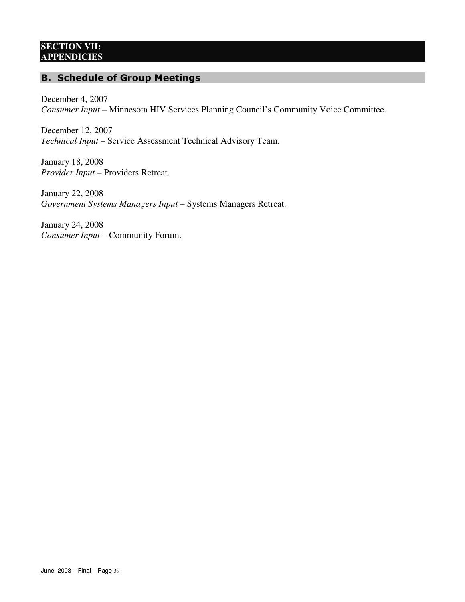#### **SECTION VII: APPENDICIES**

## B. Schedule of Group Meetings

December 4, 2007 *Consumer Input* – Minnesota HIV Services Planning Council's Community Voice Committee.

December 12, 2007 *Technical Input* – Service Assessment Technical Advisory Team.

January 18, 2008 *Provider Input* – Providers Retreat.

January 22, 2008 *Government Systems Managers Input* – Systems Managers Retreat.

January 24, 2008 *Consumer Input* – Community Forum.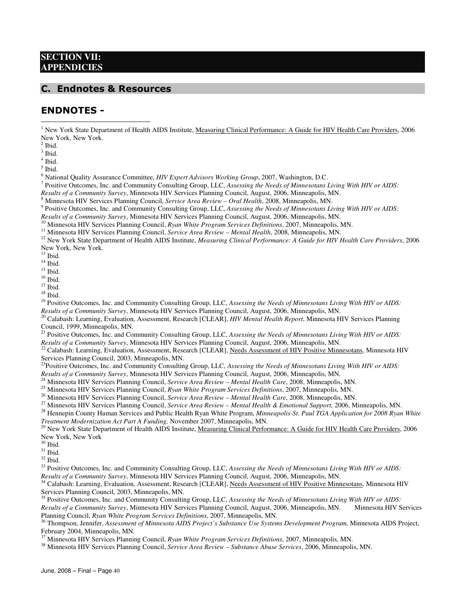#### **SECTION VII: APPENDICIES**

#### C. Endnotes & Resources

#### ENDNOTES -

<sup>1</sup> New York State Department of Health AIDS Institute, Measuring Clinical Performance: A Guide for HIV Health Care Providers, 2006 New York, New York.

2 Ibid.

<u>.</u>

 $3$  Ibid.

4 Ibid.

5 Ibid.

6 National Quality Assurance Committee, *HIV Expert Advisors Working Group*, 2007, Washington, D.C.

7 Positive Outcomes, Inc. and Community Consulting Group, LLC, *Assessing the Needs of Minnesotans Living With HIV or AIDS:* 

*Results of a Community Survey*, Minnesota HIV Services Planning Council, August, 2006, Minneapolis, MN.

<sup>8</sup> Minnesota HIV Services Planning Council, *Service Area Review – Oral Health*, 2008, Minneapolis, MN.<br><sup>9</sup> Positive Outcomes, Inc. and Community Consulting Group, LLC, *Assessing the Needs of Minnesotans Living With HIV* 

*Results of a Community Survey*, Minnesota HIV Services Planning Council, August, 2006, Minneapolis, MN.

<sup>10</sup> Minnesota HIV Services Planning Council, *Ryan White Program Services Definitions*, 2007, Minneapolis, MN.

<sup>11</sup> Minnesota HIV Services Planning Council, *Service Area Review – Mental Health*, 2008, Minneapolis, MN.

<sup>12</sup> New York State Department of Health AIDS Institute, *Measuring Clinical Performance: A Guide for HIV Health Care Providers*, 2006 New York, New York.

 $13$  Ibid.

 $^{14}$  Ibid.

 $^{\rm 15}$  Ibid.

 $16$  Ibid.

 $^{17}$  Ibid.

 $^{\rm 18}$  Ibid.

<sup>19</sup> Positive Outcomes, Inc. and Community Consulting Group, LLC, *Assessing the Needs of Minnesotans Living With HIV or AIDS*: *Results of a Community Survey*, Minnesota HIV Services Planning Council, August, 2006, Minneapolis, MN.

<sup>20</sup> Calabash: Learning, Evaluation, Assessment, Research [CLEAR], *HIV Mental Health Report*, Minnesota HIV Services Planning Council, 1999, Minneapolis, MN.

<sup>21</sup> Positive Outcomes, Inc. and Community Consulting Group, LLC, *Assessing the Needs of Minnesotans Living With HIV or AIDS*: *Results of a Community Survey*, Minnesota HIV Services Planning Council, August, 2006, Minneapolis, MN.

 $^{22}$  Calabash: Learning, Evaluation, Assessment, Research [CLEAR], Needs Assessment of HIV Positive Minnesotans, Minnesota HIV Services Planning Council, 2003, Minneapolis, MN.

<sup>23</sup>Positive Outcomes, Inc. and Community Consulting Group, LLC, *Assessing the Needs of Minnesotans Living With HIV or AIDS: Results of a Community Survey*, Minnesota HIV Services Planning Council, August, 2006, Minneapolis, MN.<br><sup>24</sup> Minneapolis, MN.

<sup>24</sup> Minnesota HIV Services Planning Council, *Service Area Review – Mental Health Care*, 2008, Minneapolis, MN.<br><sup>25</sup> Minnesota HIV Services Planning Council, *Pugu White Presseau Services Definitions*, 2007, Minneapolis,

<sup>25</sup> Minnesota HIV Services Planning Council, *Ryan White Program Services Definitions*, 2007, Minneapolis, MN.

<sup>26</sup> Minnesota HIV Services Planning Council, *Service Area Review – Mental Health Care*, 2008, Minneapolis, MN.

<sup>27</sup> Minnesota HIV Services Planning Council, *Service Area Review – Mental Health & Emotional Support,* 2006, Minneapolis, MN.

<sup>28</sup> Hennepin County Human Services and Public Health Ryan White Program, *Minneapolis-St. Paul TGA Application for 2008 Ryan White Treatment Modernization Act Part A Funding,* November 2007, Minneapolis, MN.

<sup>29</sup> New York State Department of Health AIDS Institute, Measuring Clinical Performance: A Guide for HIV Health Care Providers, 2006 New York, New York

 $^{\rm 30}$  Ibid.

 $^{31}$  Ibid.

 $^{32}$  Ibid.  $\,$ 

<sup>33</sup> Positive Outcomes, Inc. and Community Consulting Group, LLC, *Assessing the Needs of Minnesotans Living With HIV or AIDS*: *Results of a Community Survey*, Minnesota HIV Services Planning Council, August, 2006, Minneapolis, MN.

<sup>34</sup> Calabash: Learning, Evaluation, Assessment, Research [CLEAR], Needs Assessment of HIV Positive Minnesotans, Minnesota HIV Services Planning Council, 2003, Minneapolis, MN.

<sup>35</sup> Positive Outcomes, Inc. and Community Consulting Group, LLC, *Assessing the Needs of Minnesotans Living With HIV or AIDS*: *Results of a Community Survey*, Minnesota HIV Services Planning Council, August, 2006, Minneapolis, MN. Minnesota HIV Services Planning Council, *Ryan White Program Services Definitions*, 2007, Minneapolis, MN.

<sup>36</sup> Thompson, Jennifer, Assessment of Minnesota AIDS Project's Substance Use Systems Development Program, Minnesota AIDS Project, February 2004, Minneapolis, MN.

<sup>37</sup> Minnesota HIV Services Planning Council, *Ryan White Program Services Definitions*, 2007, Minneapolis, MN.

<sup>38</sup> Minnesota HIV Services Planning Council, *Service Area Review – Substance Abuse Services*, 2006, Minneapolis, MN.